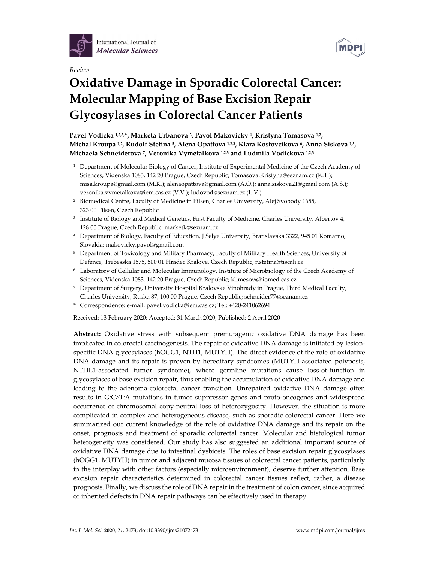

*Review*



# **Oxidative Damage in Sporadic Colorectal Cancer: Molecular Mapping of Base Excision Repair Glycosylases in Colorectal Cancer Patients**

**Pavel Vodicka 1,2,3,\*, Marketa Urbanova 3, Pavol Makovicky 4, Kristyna Tomasova 1,2, Michal Kroupa 1,2, Rudolf Stetina 5, Alena Opattova 1,2,3, Klara Kostovcikova 6, Anna Siskova 1,3, Michaela Schneiderova 7, Veronika Vymetalkova 1,2,3 and Ludmila Vodickova 1,2,3**

- <sup>1</sup> Department of Molecular Biology of Cancer, Institute of Experimental Medicine of the Czech Academy of Sciences, Videnska 1083, 142 20 Prague, Czech Republic; Tomasova.Kristyna@seznam.cz (K.T.); misa.kroupa@gmail.com (M.K.); alenaopattova@gmail.com (A.O.); anna.siskova21@gmail.com (A.S.); veronika.vymetalkova@iem.cas.cz (V.V.); ludovod@seznam.cz (L.V.)
- <sup>2</sup> Biomedical Centre, Faculty of Medicine in Pilsen, Charles University, Alej Svobody 1655, 323 00 Pilsen, Czech Republic
- <sup>3</sup> Institute of Biology and Medical Genetics, First Faculty of Medicine, Charles University, Albertov 4, 128 00 Prague, Czech Republic; marketk@seznam.cz
- <sup>4</sup> Department of Biology, Faculty of Education, J Selye University, Bratislavska 3322, 945 01 Komarno, Slovakia; makovicky.pavol@gmail.com
- <sup>5</sup> Department of Toxicology and Military Pharmacy, Faculty of Military Health Sciences, University of Defence, Trebesska 1575, 500 01 Hradec Kralove, Czech Republic; r.stetina@tiscali.cz
- <sup>6</sup> Laboratory of Cellular and Molecular Immunology, Institute of Microbiology of the Czech Academy of Sciences, Videnska 1083, 142 20 Prague, Czech Republic; klimesov@biomed.cas.cz
- <sup>7</sup> Department of Surgery, University Hospital Kralovske Vinohrady in Prague, Third Medical Faculty, Charles University, Ruska 87, 100 00 Prague, Czech Republic; schneider77@seznam.cz
- **\*** Correspondence: e‐mail: pavel.vodicka@iem.cas.cz; Tel: +420‐241062694

Received: 13 February 2020; Accepted: 31 March 2020; Published: 2 April 2020

**Abstract:** Oxidative stress with subsequent premutagenic oxidative DNA damage has been implicated in colorectal carcinogenesis. The repair of oxidative DNA damage is initiated by lesionspecific DNA glycosylases (hOGG1, NTH1, MUTYH). The direct evidence of the role of oxidative DNA damage and its repair is proven by hereditary syndromes (MUTYH-associated polyposis, NTHL1‐associated tumor syndrome), where germline mutations cause loss‐of‐function in glycosylases of base excision repair, thus enabling the accumulation of oxidative DNA damage and leading to the adenoma‐colorectal cancer transition. Unrepaired oxidative DNA damage often results in G:C>T:A mutations in tumor suppressor genes and proto‐oncogenes and widespread occurrence of chromosomal copy‐neutral loss of heterozygosity. However, the situation is more complicated in complex and heterogeneous disease, such as sporadic colorectal cancer. Here we summarized our current knowledge of the role of oxidative DNA damage and its repair on the onset, prognosis and treatment of sporadic colorectal cancer. Molecular and histological tumor heterogeneity was considered. Our study has also suggested an additional important source of oxidative DNA damage due to intestinal dysbiosis. The roles of base excision repair glycosylases (hOGG1, MUTYH) in tumor and adjacent mucosa tissues of colorectal cancer patients, particularly in the interplay with other factors (especially microenvironment), deserve further attention. Base excision repair characteristics determined in colorectal cancer tissues reflect, rather, a disease prognosis. Finally, we discuss the role of DNA repairin the treatment of colon cancer, since acquired or inherited defects in DNA repair pathways can be effectively used in therapy.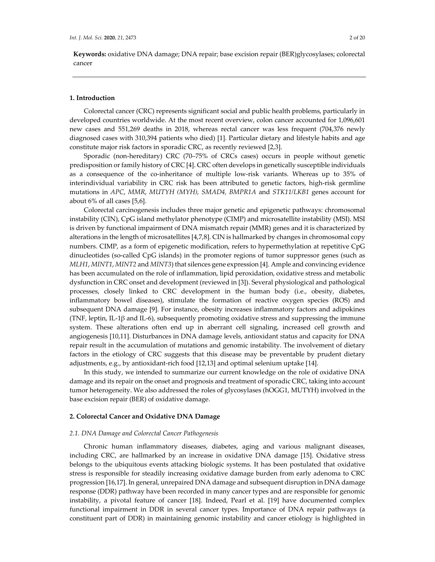**Keywords:** oxidative DNA damage; DNA repair; base excision repair (BER)glycosylases; colorectal cancer

## **1. Introduction**

Colorectal cancer (CRC) represents significant social and public health problems, particularly in developed countries worldwide. At the most recent overview, colon cancer accounted for 1,096,601 new cases and 551,269 deaths in 2018, whereas rectal cancer was less frequent (704,376 newly diagnosed cases with 310,394 patients who died) [1]. Particular dietary and lifestyle habits and age constitute major risk factors in sporadic CRC, as recently reviewed [2,3].

Sporadic (non-hereditary) CRC (70–75% of CRCs cases) occurs in people without genetic predisposition orfamily history of CRC [4]. CRC often develops in genetically susceptible individuals as a consequence of the co-inheritance of multiple low-risk variants. Whereas up to 35% of interindividual variability in CRC risk has been attributed to genetic factors, high-risk germline mutations in *APC*, *MMR*, *MUTYH (MYH), SMAD4, BMPR1A* and *STK11/LKB1* genes account for about 6% of all cases [5,6].

Colorectal carcinogenesis includes three major genetic and epigenetic pathways: chromosomal instability (CIN), CpG island methylator phenotype (CIMP) and microsatellite instability (MSI). MSI is driven by functional impairment of DNA mismatch repair (MMR) genes and it is characterized by alterations in the length of microsatellites [4,7,8]. CIN is hallmarked by changes in chromosomal copy numbers. CIMP, as a form of epigenetic modification, refers to hypermethylation at repetitive CpG dinucleotides (so-called CpG islands) in the promoter regions of tumor suppressor genes (such as *MLH1*, *MINT1*, *MINT2* and *MINT3*) that silences gene expression [4]. Ample and convincing evidence has been accumulated on the role of inflammation, lipid peroxidation, oxidative stress and metabolic dysfunction in CRC onset and development (reviewed in [3]). Several physiological and pathological processes, closely linked to CRC development in the human body (i.e., obesity, diabetes, inflammatory bowel diseases), stimulate the formation of reactive oxygen species (ROS) and subsequent DNA damage [9]. For instance, obesity increases inflammatory factors and adipokines (TNF, leptin, IL-1 $\beta$  and IL-6), subsequently promoting oxidative stress and suppressing the immune system. These alterations often end up in aberrant cell signaling, increased cell growth and angiogenesis [10,11]. Disturbances in DNA damage levels, antioxidant status and capacity for DNA repair result in the accumulation of mutations and genomic instability. The involvement of dietary factors in the etiology of CRC suggests that this disease may be preventable by prudent dietary adjustments, e.g., by antioxidant‐rich food [12,13] and optimal selenium uptake [14].

In this study, we intended to summarize our current knowledge on the role of oxidative DNA damage and its repair on the onset and prognosis and treatment of sporadic CRC, taking into account tumor heterogeneity. We also addressed the roles of glycosylases (hOGG1, MUTYH) involved in the base excision repair (BER) of oxidative damage.

#### **2. Colorectal Cancer and Oxidative DNA Damage**

#### *2.1. DNA Damage and Colorectal Cancer Pathogenesis*

Chronic human inflammatory diseases, diabetes, aging and various malignant diseases, including CRC, are hallmarked by an increase in oxidative DNA damage [15]. Oxidative stress belongs to the ubiquitous events attacking biologic systems. It has been postulated that oxidative stress is responsible for steadily increasing oxidative damage burden from early adenoma to CRC progression [16,17]. In general, unrepaired DNA damage and subsequent disruption in DNA damage response (DDR) pathway have been recorded in many cancer types and are responsible for genomic instability, a pivotal feature of cancer [18]. Indeed, Pearl et al. [19] have documented complex functional impairment in DDR in several cancer types. Importance of DNA repair pathways (a constituent part of DDR) in maintaining genomic instability and cancer etiology is highlighted in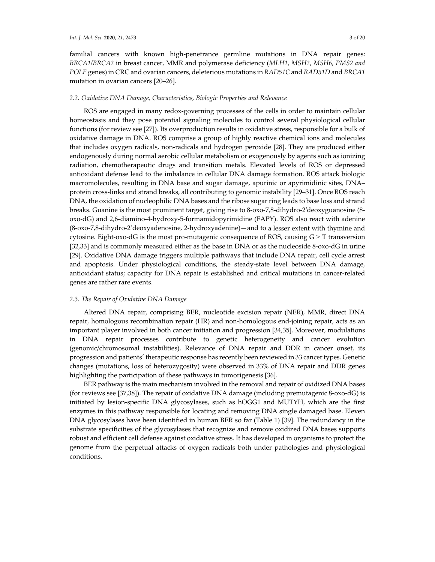familial cancers with known high-penetrance germline mutations in DNA repair genes: *BRCA1/BRCA2* in breast cancer, MMR and polymerase deficiency (*MLH1*, *MSH2*, *MSH6, PMS2 and POLE* genes) in CRC and ovarian cancers, deleterious mutations in *RAD51C* and *RAD51D* and *BRCA1* mutation in ovarian cancers [20–26].

## *2.2. Oxidative DNA Damage, Characteristics, Biologic Properties and Relevance*

ROS are engaged in many redox‐governing processes of the cells in order to maintain cellular homeostasis and they pose potential signaling molecules to control several physiological cellular functions (for review see [27]). Its overproduction results in oxidative stress, responsible for a bulk of oxidative damage in DNA. ROS comprise a group of highly reactive chemical ions and molecules that includes oxygen radicals, non-radicals and hydrogen peroxide [28]. They are produced either endogenously during normal aerobic cellular metabolism or exogenously by agents such as ionizing radiation, chemotherapeutic drugs and transition metals. Elevated levels of ROS or depressed antioxidant defense lead to the imbalance in cellular DNA damage formation. ROS attack biologic macromolecules, resulting in DNA base and sugar damage, apurinic or apyrimidinic sites, DNA– protein cross-links and strand breaks, all contributing to genomic instability [29-31]. Once ROS reach DNA, the oxidation of nucleophilic DNA bases and the ribose sugar ring leads to base loss and strand breaks. Guanine is the most prominent target, giving rise to 8-oxo-7,8-dihydro-2'deoxyguanosine (8oxo‐dG) and 2,6‐diamino‐4‐hydroxy‐5‐formamidopyrimidine (FAPY). ROS also react with adenine (8‐oxo‐7,8‐dihydro‐2'deoxyadenosine, 2‐hydroxyadenine)—and to a lesser extent with thymine and cytosine. Eight-oxo-dG is the most pro-mutagenic consequence of ROS, causing  $G > T$  transversion [32,33] and is commonly measured either as the base in DNA or as the nucleoside 8-oxo-dG in urine [29]. Oxidative DNA damage triggers multiple pathways that include DNA repair, cell cycle arrest and apoptosis. Under physiological conditions, the steady‐state level between DNA damage, antioxidant status; capacity for DNA repair is established and critical mutations in cancer‐related genes are rather rare events.

#### *2.3. The Repair of Oxidative DNA Damage*

Altered DNA repair, comprising BER, nucleotide excision repair (NER), MMR, direct DNA repair, homologous recombination repair (HR) and non‐homologous end‐joining repair, acts as an important player involved in both cancer initiation and progression [34,35]. Moreover, modulations in DNA repair processes contribute to genetic heterogeneity and cancer evolution (genomic/chromosomal instabilities). Relevance of DNA repair and DDR in cancer onset, its progression and patients´ therapeutic response has recently been reviewed in 33 cancertypes. Genetic changes (mutations, loss of heterozygosity) were observed in 33% of DNA repair and DDR genes highlighting the participation of these pathways in tumorigenesis [36].

BER pathway is the main mechanism involved in the removal and repair of oxidized DNA bases (for reviews see [37,38]). The repair of oxidative DNA damage (including premutagenic 8‐oxo‐dG) is initiated by lesion‐specific DNA glycosylases, such as hOGG1 and MUTYH, which are the first enzymes in this pathway responsible for locating and removing DNA single damaged base. Eleven DNA glycosylases have been identified in human BER so far (Table 1) [39]. The redundancy in the substrate specificities of the glycosylases that recognize and remove oxidized DNA bases supports robust and efficient cell defense against oxidative stress. It has developed in organisms to protect the genome from the perpetual attacks of oxygen radicals both under pathologies and physiological conditions.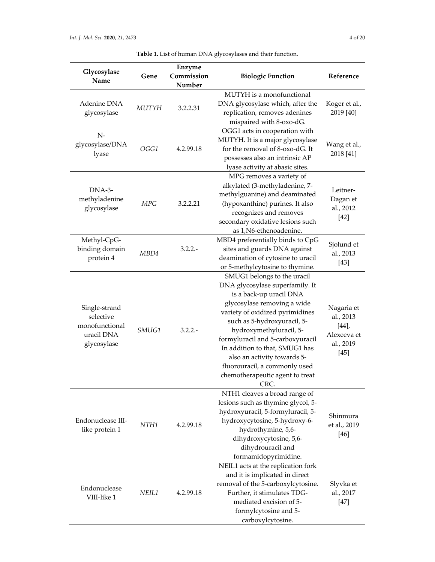| Table 1. List of human DNA glycosylases and their function. |  |  |
|-------------------------------------------------------------|--|--|
|-------------------------------------------------------------|--|--|

| Glycosylase<br>Name                                                       | Gene         | Enzyme<br>Commission<br>Number | <b>Biologic Function</b>                                                                                                                                                                                                                                                                                                                                                                               | Reference                                                             |
|---------------------------------------------------------------------------|--------------|--------------------------------|--------------------------------------------------------------------------------------------------------------------------------------------------------------------------------------------------------------------------------------------------------------------------------------------------------------------------------------------------------------------------------------------------------|-----------------------------------------------------------------------|
| Adenine DNA<br>glycosylase                                                | <b>MUTYH</b> | 3.2.2.31                       | MUTYH is a monofunctional<br>DNA glycosylase which, after the<br>replication, removes adenines<br>mispaired with 8-oxo-dG.                                                                                                                                                                                                                                                                             | Koger et al.,<br>2019 [40]                                            |
| $N-$<br>glycosylase/DNA<br>lyase                                          | OGG1         | 4.2.99.18                      | OGG1 acts in cooperation with<br>MUTYH. It is a major glycosylase<br>for the removal of 8-oxo-dG. It<br>possesses also an intrinsic AP<br>lyase activity at abasic sites.                                                                                                                                                                                                                              | Wang et al.,<br>2018 [41]                                             |
| DNA-3-<br>methyladenine<br>glycosylase                                    | MPG          | 3.2.2.21                       | MPG removes a variety of<br>alkylated (3-methyladenine, 7-<br>methylguanine) and deaminated<br>(hypoxanthine) purines. It also<br>recognizes and removes<br>secondary oxidative lesions such<br>as 1, N6-ethenoadenine.                                                                                                                                                                                | Leitner-<br>Dagan et<br>al., 2012<br>$[42]$                           |
| Methyl-CpG-<br>binding domain<br>protein 4                                | MBD4         | $3.2.2. -$                     | MBD4 preferentially binds to CpG<br>sites and guards DNA against<br>deamination of cytosine to uracil<br>or 5-methylcytosine to thymine.                                                                                                                                                                                                                                                               | Sjolund et<br>al., 2013<br>$[43]$                                     |
| Single-strand<br>selective<br>monofunctional<br>uracil DNA<br>glycosylase | SMUG1        | $3.2.2. -$                     | SMUG1 belongs to the uracil<br>DNA glycosylase superfamily. It<br>is a back-up uracil DNA<br>glycosylase removing a wide<br>variety of oxidized pyrimidines<br>such as 5-hydroxyuracil, 5-<br>hydroxymethyluracil, 5-<br>formyluracil and 5-carboxyuracil<br>In addition to that, SMUG1 has<br>also an activity towards 5-<br>fluorouracil, a commonly used<br>chemotherapeutic agent to treat<br>CRC. | Nagaria et<br>al., 2013<br>[44]<br>Alexeeva et<br>al., 2019<br>$[45]$ |
| Endonuclease III-<br>like protein 1                                       | NTH1         | 4.2.99.18                      | NTH1 cleaves a broad range of<br>lesions such as thymine glycol, 5-<br>hydroxyuracil, 5-formyluracil, 5-<br>hydroxycytosine, 5-hydroxy-6-<br>hydrothymine, 5,6-<br>dihydroxycytosine, 5,6-<br>dihydrouracil and<br>formamidopyrimidine.                                                                                                                                                                | Shinmura<br>et al., 2019<br>$[46]$                                    |
| Endonuclease<br>VIII-like 1                                               | NEIL1        | 4.2.99.18                      | NEIL1 acts at the replication fork<br>and it is implicated in direct<br>removal of the 5-carboxylcytosine.<br>Further, it stimulates TDG-<br>mediated excision of 5-<br>formylcytosine and 5-<br>carboxylcytosine.                                                                                                                                                                                     | Slyvka et<br>al., 2017<br>$[47]$                                      |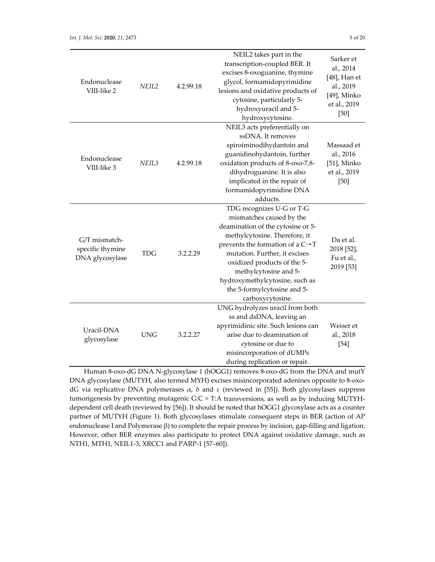| Endonuclease<br>VIII-like 2                          | NEIL <sub>2</sub> | 4.2.99.18 | NEIL2 takes part in the<br>transcription-coupled BER. It<br>excises 8-oxoguanine, thymine<br>glycol, formamidopyrimidine<br>lesions and oxidative products of<br>cytosine, particularly 5-<br>hydroxyuracil and 5-<br>hydroxycytosine.                                                                                                                     | Sarker et<br>al., 2014<br>$[48]$ , Han et<br>al., 2019<br>[49], Minko<br>et al., 2019<br>$[50]$ |
|------------------------------------------------------|-------------------|-----------|------------------------------------------------------------------------------------------------------------------------------------------------------------------------------------------------------------------------------------------------------------------------------------------------------------------------------------------------------------|-------------------------------------------------------------------------------------------------|
| Endonuclease<br>VIII-like 3                          | NEIL <sub>3</sub> | 4.2.99.18 | NEIL3 acts preferentially on<br>ssDNA. It removes<br>spiroiminodihydantoin and<br>guanidinohydantoin, further<br>oxidation products of 8-oxo-7,8-<br>dihydroguanine. It is also<br>implicated in the repair of<br>formamidopyrimidine DNA<br>adducts.                                                                                                      | Massaad et<br>al., 2016<br>[51], Minko<br>et al., 2019<br>$[50]$                                |
| G/T mismatch-<br>specific thymine<br>DNA glycosylase | <b>TDG</b>        | 3.2.2.29  | TDG recognizes U-G or T-G<br>mismatches caused by the<br>deamination of the cytosine or 5-<br>methylcytosine. Therefore, it<br>prevents the formation of a $C \rightarrow T$<br>mutation. Further, it excises<br>oxidized products of the 5-<br>methylcytosine and 5-<br>hydroxymethylcytosine, such as<br>the 5-formylcytosine and 5-<br>carboxycytosine. | Da et al.<br>2018 [52],<br>Fu et al.,<br>2019 [53]                                              |
| Uracil-DNA<br>glycosylase                            | <b>UNG</b>        | 3.2.2.27  | UNG hydrolyzes uracil from both<br>ss and dsDNA, leaving an<br>apyrimidinic site. Such lesions can<br>arise due to deamination of<br>cytosine or due to<br>misincorporation of dUMPs<br>during replication or repair.                                                                                                                                      | Weiser et<br>al., 2018<br>$[54]$                                                                |

Human 8-oxo-dG DNA N-glycosylase 1 (hOGG1) removes 8-oxo-dG from the DNA and mutY DNA glycosylase (MUTYH, also termed MYH) excises misincorporated adenines opposite to 8‐oxo‐ dG via replicative DNA polymerases  $\alpha$ ,  $\delta$  and  $\epsilon$  (reviewed in [55]). Both glycosylases suppress tumorigenesis by preventing mutagenic G:C > T:A transversions, as well as by inducing MUTYH‐ dependent cell death (reviewed by [56]). It should be noted that hOGG1 glycosylase acts as a counter partner of MUTYH (Figure 1). Both glycosylases stimulate consequent steps in BER (action of AP endonuclease I and Polymerase β) to complete the repair process by incision, gap-filling and ligation. However, other BER enzymes also participate to protect DNA against oxidative damage, such as NTH1, MTH1, NEIL1‐3, XRCC1 and PARP‐1 [57–60]).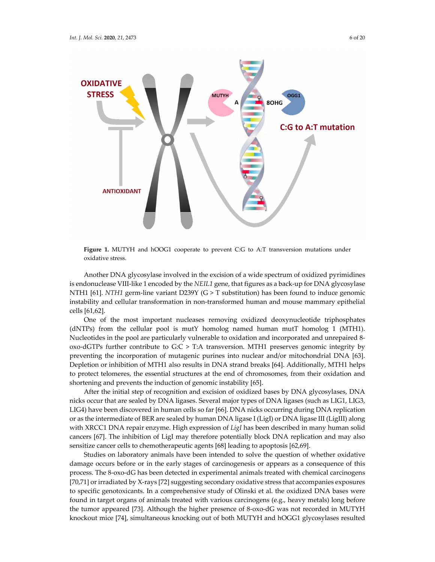

**Figure 1.** MUTYH and hOOG1 cooperate to prevent C:G to A:T transversion mutations under oxidative stress.

Another DNA glycosylase involved in the excision of a wide spectrum of oxidized pyrimidines is endonuclease VIII‐like 1 encoded by the *NEIL1* gene, that figures as a back‐up for DNA glycosylase NTH1 [61]. *NTH1* germ-line variant D239Y (G > T substitution) has been found to induce genomic instability and cellular transformation in non‐transformed human and mouse mammary epithelial cells [61,62].

One of the most important nucleases removing oxidized deoxynucleotide triphosphates (dNTPs) from the cellular pool is mutY homolog named human mutT homolog 1 (MTH1). Nucleotides in the pool are particularly vulnerable to oxidation and incorporated and unrepaired 8‐ oxo‐dGTPs further contribute to G:C > T:A transversion. MTH1 preserves genomic integrity by preventing the incorporation of mutagenic purines into nuclear and/or mitochondrial DNA [63]. Depletion or inhibition of MTH1 also results in DNA strand breaks [64]. Additionally, MTH1 helps to protect telomeres, the essential structures at the end of chromosomes, from their oxidation and shortening and prevents the induction of genomic instability [65].

After the initial step of recognition and excision of oxidized bases by DNA glycosylases, DNA nicks occur that are sealed by DNA ligases. Several major types of DNA ligases (such as LIG1, LIG3, LIG4) have been discovered in human cells so far [66]. DNA nicks occurring during DNA replication or as the intermediate of BER are sealed by human DNA ligase I (LigI) or DNA ligase III (LigIII) along with XRCC1 DNA repair enzyme. High expression of *LigI* has been described in many human solid cancers [67]. The inhibition of LigI may therefore potentially block DNA replication and may also sensitize cancer cells to chemotherapeutic agents [68] leading to apoptosis [62,69].

Studies on laboratory animals have been intended to solve the question of whether oxidative damage occurs before or in the early stages of carcinogenesis or appears as a consequence of this process. The 8‐oxo‐dG has been detected in experimental animals treated with chemical carcinogens [70,71] or irradiated by X‐rays [72] suggesting secondary oxidative stress that accompanies exposures to specific genotoxicants. In a comprehensive study of Olinski et al. the oxidized DNA bases were found in target organs of animals treated with various carcinogens (e.g., heavy metals) long before the tumor appeared [73]. Although the higher presence of 8‐oxo‐dG was not recorded in MUTYH knockout mice [74], simultaneous knocking out of both MUTYH and hOGG1 glycosylases resulted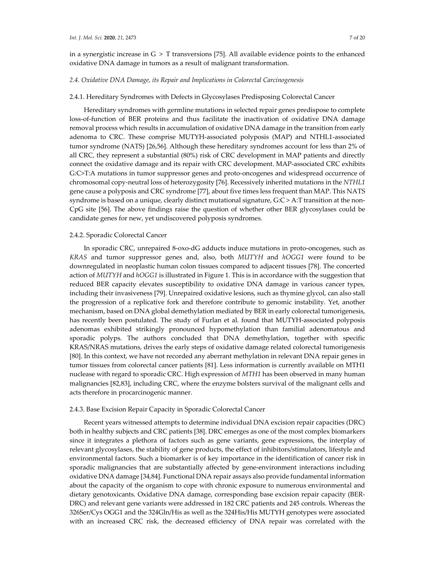in a synergistic increase in  $G > T$  transversions [75]. All available evidence points to the enhanced oxidative DNA damage in tumors as a result of malignant transformation.

#### *2.4. Oxidative DNA Damage, its Repair and Implications in Colorectal Carcinogenesis*

## 2.4.1. Hereditary Syndromes with Defects in Glycosylases Predisposing Colorectal Cancer

Hereditary syndromes with germline mutations in selected repair genes predispose to complete loss‐of‐function of BER proteins and thus facilitate the inactivation of oxidative DNA damage removal process which results in accumulation of oxidative DNA damage in the transition from early adenoma to CRC. These comprise MUTYH‐associated polyposis (MAP) and NTHL1‐associated tumor syndrome (NATS) [26,56]. Although these hereditary syndromes account for less than 2% of all CRC, they represent a substantial (80%) risk of CRC development in MAP patients and directly connect the oxidative damage and its repair with CRC development. MAP‐associated CRC exhibits G:C>T:A mutations in tumor suppressor genes and proto‐oncogenes and widespread occurrence of chromosomal copy‐neutral loss of heterozygosity [76]. Recessively inherited mutations in the *NTHL1* gene cause a polyposis and CRC syndrome [77], about five times less frequent than MAP. This NATS syndrome is based on a unique, clearly distinct mutational signature,  $G:C > A$ : T transition at the non-CpG site [56]. The above findings raise the question of whether other BER glycosylases could be candidate genes for new, yet undiscovered polyposis syndromes.

#### 2.4.2. Sporadic Colorectal Cancer

In sporadic CRC, unrepaired 8‐oxo‐dG adducts induce mutations in proto‐oncogenes, such as *KRAS* and tumor suppressor genes and, also, both *MUTYH* and *hOGG1* were found to be downregulated in neoplastic human colon tissues compared to adjacent tissues [78]. The concerted action of *MUTYH* and *hOGG1* is illustrated in Figure 1. This is in accordance with the suggestion that reduced BER capacity elevates susceptibility to oxidative DNA damage in various cancer types, including their invasiveness [79]. Unrepaired oxidative lesions, such as thymine glycol, can also stall the progression of a replicative fork and therefore contribute to genomic instability. Yet, another mechanism, based on DNA global demethylation mediated by BER in early colorectal tumorigenesis, has recently been postulated. The study of Furlan et al. found that MUTYH‐associated polyposis adenomas exhibited strikingly pronounced hypomethylation than familial adenomatous and sporadic polyps. The authors concluded that DNA demethylation, together with specific KRAS/NRAS mutations, drives the early steps of oxidative damage related colorectal tumorigenesis [80]. In this context, we have not recorded any aberrant methylation in relevant DNA repair genes in tumor tissues from colorectal cancer patients [81]. Less information is currently available on MTH1 nuclease with regard to sporadic CRC. High expression of *MTH1* has been observed in many human malignancies [82,83], including CRC, where the enzyme bolsters survival of the malignant cells and acts therefore in procarcinogenic manner.

## 2.4.3. Base Excision Repair Capacity in Sporadic Colorectal Cancer

Recent years witnessed attempts to determine individual DNA excision repair capacities (DRC) both in healthy subjects and CRC patients [38]. DRC emerges as one of the most complex biomarkers since it integrates a plethora of factors such as gene variants, gene expressions, the interplay of relevant glycosylases, the stability of gene products, the effect of inhibitors/stimulators, lifestyle and environmental factors. Such a biomarker is of key importance in the identification of cancer risk in sporadic malignancies that are substantially affected by gene-environment interactions including oxidative DNA damage [34,84]. Functional DNA repair assays also provide fundamental information about the capacity of the organism to cope with chronic exposure to numerous environmental and dietary genotoxicants. Oxidative DNA damage, corresponding base excision repair capacity (BER‐ DRC) and relevant gene variants were addressed in 182 CRC patients and 245 controls. Whereas the 326Ser/Cys OGG1 and the 324Gln/His as well as the 324His/His MUTYH genotypes were associated with an increased CRC risk, the decreased efficiency of DNA repair was correlated with the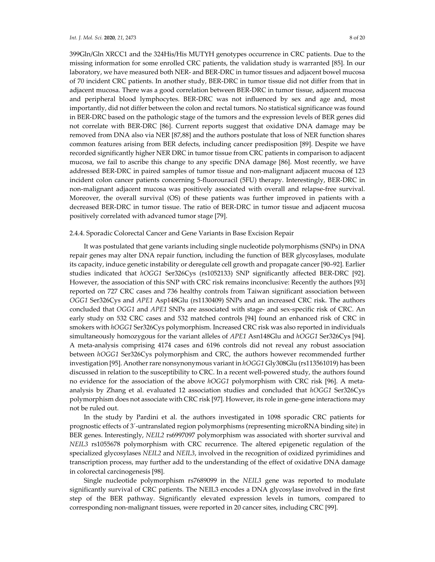399Gln/Gln XRCC1 and the 324His/His MUTYH genotypes occurrence in CRC patients. Due to the missing information for some enrolled CRC patients, the validation study is warranted [85]. In our laboratory, we have measured both NER‐ and BER‐DRC in tumor tissues and adjacent bowel mucosa of 70 incident CRC patients. In another study, BER‐DRC in tumor tissue did not differ from that in adjacent mucosa. There was a good correlation between BER‐DRC in tumor tissue, adjacent mucosa and peripheral blood lymphocytes. BER‐DRC was not influenced by sex and age and, most importantly, did not differ between the colon and rectal tumors. No statistical significance was found in BER‐DRC based on the pathologic stage of the tumors and the expression levels of BER genes did not correlate with BER‐DRC [86]. Current reports suggest that oxidative DNA damage may be removed from DNA also via NER [87,88] and the authors postulate that loss of NER function shares common features arising from BER defects, including cancer predisposition [89]. Despite we have recorded significantly higher NER DRC in tumor tissue from CRC patients in comparison to adjacent mucosa, we fail to ascribe this change to any specific DNA damage [86]. Most recently, we have addressed BER‐DRC in paired samples of tumor tissue and non‐malignant adjacent mucosa of 123 incident colon cancer patients concerning 5‐fluorouracil (5FU) therapy. Interestingly, BER‐DRC in non‐malignant adjacent mucosa was positively associated with overall and relapse‐free survival. Moreover, the overall survival (OS) of these patients was further improved in patients with a decreased BER‐DRC in tumor tissue. The ratio of BER‐DRC in tumor tissue and adjacent mucosa positively correlated with advanced tumor stage [79].

# 2.4.4. Sporadic Colorectal Cancer and Gene Variants in Base Excision Repair

It was postulated that gene variants including single nucleotide polymorphisms (SNPs) in DNA repair genes may alter DNA repair function, including the function of BER glycosylases, modulate its capacity, induce genetic instability or deregulate cell growth and propagate cancer [90–92]. Earlier studies indicated that *hOGG1* Ser326Cys (rs1052133) SNP significantly affected BER‐DRC [92]. However, the association of this SNP with CRC risk remains inconclusive: Recently the authors [93] reported on 727 CRC cases and 736 healthy controls from Taiwan significant association between *OGG1* Ser326Cys and *APE1* Asp148Glu (rs1130409) SNPs and an increased CRC risk. The authors concluded that *OGG1* and *APE1* SNPs are associated with stage‐ and sex‐specific risk of CRC. An early study on 532 CRC cases and 532 matched controls [94] found an enhanced risk of CRC in smokers with *hOGG1* Ser326Cys polymorphism. Increased CRC risk was also reported in individuals simultaneously homozygous for the variant alleles of *APE1* Asn148Glu and *hOGG1* Ser326Cys [94]. A meta‐analysis comprising 4174 cases and 6196 controls did not reveal any robust association between *hOGG1* Ser326Cys polymorphism and CRC, the authors however recommended further investigation [95]. Anotherrare nonsynonymous variant in *hOGG1* Gly308Glu (rs113561019) has been discussed in relation to the susceptibility to CRC. In a recent well‐powered study, the authors found no evidence for the association of the above *hOGG1* polymorphism with CRC risk [96]. A metaanalysis by Zhang et al. evaluated 12 association studies and concluded that *hOGG1* Ser326Cys polymorphism does not associate with CRC risk [97]. However, its role in gene‐gene interactions may not be ruled out.

In the study by Pardini et al. the authors investigated in 1098 sporadic CRC patients for prognostic effects of 3´‐untranslated region polymorphisms (representing microRNA binding site) in BER genes. Interestingly, *NEIL2* rs6997097 polymorphism was associated with shorter survival and *NEIL3* rs1055678 polymorphism with CRC recurrence. The altered epigenetic regulation of the specialized glycosylases *NEIL2* and *NEIL3*, involved in the recognition of oxidized pyrimidines and transcription process, may further add to the understanding of the effect of oxidative DNA damage in colorectal carcinogenesis [98].

Single nucleotide polymorphism rs7689099 in the *NEIL3* gene was reported to modulate significantly survival of CRC patients. The NEIL3 encodes a DNA glycosylase involved in the first step of the BER pathway. Significantly elevated expression levels in tumors, compared to corresponding non‐malignant tissues, were reported in 20 cancer sites, including CRC [99].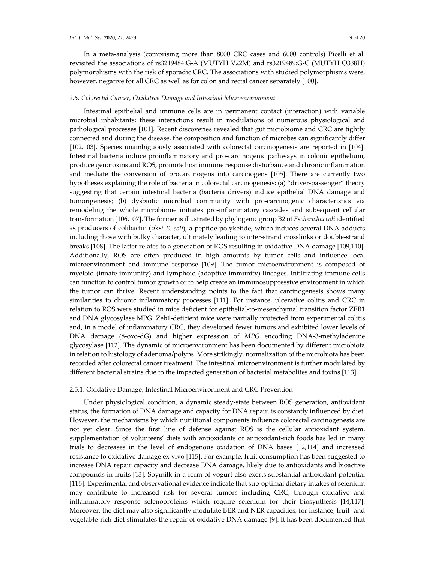In a meta‐analysis (comprising more than 8000 CRC cases and 6000 controls) Picelli et al. revisited the associations of rs3219484:G‐A (MUTYH V22M) and rs3219489:G‐C (MUTYH Q338H) polymorphisms with the risk of sporadic CRC. The associations with studied polymorphisms were, however, negative for all CRC as well as for colon and rectal cancer separately [100].

# *2.5. Colorectal Cancer, Oxidative Damage and Intestinal Microenvironment*

Intestinal epithelial and immune cells are in permanent contact (interaction) with variable microbial inhabitants; these interactions result in modulations of numerous physiological and pathological processes [101]. Recent discoveries revealed that gut microbiome and CRC are tightly connected and during the disease, the composition and function of microbes can significantly differ [102,103]. Species unambiguously associated with colorectal carcinogenesis are reported in [104]. Intestinal bacteria induce proinflammatory and pro‐carcinogenic pathways in colonic epithelium, produce genotoxins and ROS, promote host immune response disturbance and chronic inflammation and mediate the conversion of procarcinogens into carcinogens [105]. There are currently two hypotheses explaining the role of bacteria in colorectal carcinogenesis: (a) "driver‐passenger" theory suggesting that certain intestinal bacteria (bacteria drivers) induce epithelial DNA damage and tumorigenesis; (b) dysbiotic microbial community with pro‐carcinogenic characteristics via remodeling the whole microbiome initiates pro-inflammatory cascades and subsequent cellular transformation [106,107]. The formeris illustrated by phylogenic group B2 of *Escherichia coli* identified as producers of colibactin (pks+ *E. coli*), a peptide‐polyketide, which induces several DNA adducts including those with bulky character, ultimately leading to inter‐strand crosslinks or double‐strand breaks [108]. The latter relates to a generation of ROS resulting in oxidative DNA damage [109,110]. Additionally, ROS are often produced in high amounts by tumor cells and influence local microenvironment and immune response [109]. The tumor microenvironment is composed of myeloid (innate immunity) and lymphoid (adaptive immunity) lineages. Infiltrating immune cells can function to control tumor growth or to help create an immunosuppressive environment in which the tumor can thrive. Recent understanding points to the fact that carcinogenesis shows many similarities to chronic inflammatory processes [111]. For instance, ulcerative colitis and CRC in relation to ROS were studied in mice deficient for epithelial‐to‐mesenchymal transition factor ZEB1 and DNA glycosylase MPG. Zeb1-deficient mice were partially protected from experimental colitis and, in a model of inflammatory CRC, they developed fewer tumors and exhibited lower levels of DNA damage (8-oxo-dG) and higher expression of *MPG* encoding DNA-3-methyladenine glycosylase [112]. The dynamic of microenvironment has been documented by different microbiota in relation to histology of adenoma/polyps. More strikingly, normalization of the microbiota has been recorded after colorectal cancer treatment. The intestinal microenvironment is further modulated by different bacterial strains due to the impacted generation of bacterial metabolites and toxins [113].

#### 2.5.1. Oxidative Damage, Intestinal Microenvironment and CRC Prevention

Under physiological condition, a dynamic steady‐state between ROS generation, antioxidant status, the formation of DNA damage and capacity for DNA repair, is constantly influenced by diet. However, the mechanisms by which nutritional components influence colorectal carcinogenesis are not yet clear. Since the first line of defense against ROS is the cellular antioxidant system, supplementation of volunteers' diets with antioxidants or antioxidant-rich foods has led in many trials to decreases in the level of endogenous oxidation of DNA bases [12,114] and increased resistance to oxidative damage ex vivo [115]. For example, fruit consumption has been suggested to increase DNA repair capacity and decrease DNA damage, likely due to antioxidants and bioactive compounds in fruits [13]. Soymilk in a form of yogurt also exerts substantial antioxidant potential [116]. Experimental and observational evidence indicate that sub‐optimal dietary intakes of selenium may contribute to increased risk for several tumors including CRC, through oxidative and inflammatory response selenoproteins which require selenium for their biosynthesis [14,117]. Moreover, the diet may also significantly modulate BER and NER capacities, for instance, fruit- and vegetable‐rich diet stimulates the repair of oxidative DNA damage [9]. It has been documented that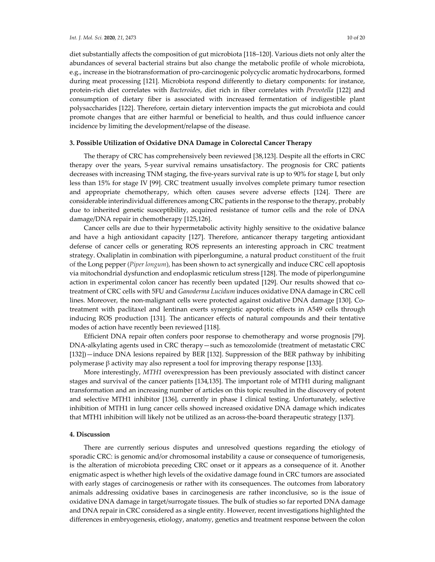diet substantially affects the composition of gut microbiota [118–120]. Various diets not only alter the abundances of several bacterial strains but also change the metabolic profile of whole microbiota, e.g., increase in the biotransformation of pro‐carcinogenic polycyclic aromatic hydrocarbons, formed during meat processing [121]. Microbiota respond differently to dietary components: for instance, protein‐rich diet correlates with *Bacteroides*, diet rich in fiber correlates with *Prevotella* [122] and consumption of dietary fiber is associated with increased fermentation of indigestible plant polysaccharides [122]. Therefore, certain dietary intervention impacts the gut microbiota and could promote changes that are either harmful or beneficial to health, and thus could influence cancer incidence by limiting the development/relapse of the disease.

# **3. Possible Utilization of Oxidative DNA Damage in Colorectal Cancer Therapy**

The therapy of CRC has comprehensively been reviewed [38,123]. Despite all the efforts in CRC therapy over the years, 5‐year survival remains unsatisfactory. The prognosis for CRC patients decreases with increasing TNM staging, the five‐years survival rate is up to 90% for stage I, but only less than 15% for stage IV [99]. CRC treatment usually involves complete primary tumor resection and appropriate chemotherapy, which often causes severe adverse effects [124]. There are considerable interindividual differences among CRC patients in the response to the therapy, probably due to inherited genetic susceptibility, acquired resistance of tumor cells and the role of DNA damage/DNA repair in chemotherapy [125,126].

Cancer cells are due to their hypermetabolic activity highly sensitive to the oxidative balance and have a high antioxidant capacity [127]. Therefore, anticancer therapy targeting antioxidant defense of cancer cells or generating ROS represents an interesting approach in CRC treatment strategy. Oxaliplatin in combination with piperlongumine, a natural product constituent of the fruit of the Long pepper (*Piper longum*), has been shown to act synergically and induce CRC cell apoptosis via mitochondrial dysfunction and endoplasmic reticulum stress [128]. The mode of piperlongumine action in experimental colon cancer has recently been updated [129]. Our results showed that cotreatment of CRC cells with 5FU and *Ganoderma Lucidum* induces oxidative DNA damage in CRC cell lines. Moreover, the non-malignant cells were protected against oxidative DNA damage [130]. Cotreatment with paclitaxel and lentinan exerts synergistic apoptotic effects in A549 cells through inducing ROS production [131]. The anticancer effects of natural compounds and their tentative modes of action have recently been reviewed [118].

Efficient DNA repair often confers poor response to chemotherapy and worse prognosis [79]. DNA‐alkylating agents used in CRC therapy—such as temozolomide (treatment of metastatic CRC [132])—induce DNA lesions repaired by BER [132]. Suppression of the BER pathway by inhibiting polymerase β activity may also represent a tool for improving therapy response [133].

More interestingly, *MTH1* overexpression has been previously associated with distinct cancer stages and survival of the cancer patients [134,135]. The important role of MTH1 during malignant transformation and an increasing number of articles on this topic resulted in the discovery of potent and selective MTH1 inhibitor [136], currently in phase I clinical testing. Unfortunately, selective inhibition of MTH1 in lung cancer cells showed increased oxidative DNA damage which indicates that MTH1 inhibition will likely not be utilized as an across‐the‐board therapeutic strategy [137].

#### **4. Discussion**

There are currently serious disputes and unresolved questions regarding the etiology of sporadic CRC: is genomic and/or chromosomal instability a cause or consequence of tumorigenesis, is the alteration of microbiota preceding CRC onset or it appears as a consequence of it. Another enigmatic aspect is whether high levels of the oxidative damage found in CRC tumors are associated with early stages of carcinogenesis or rather with its consequences. The outcomes from laboratory animals addressing oxidative bases in carcinogenesis are rather inconclusive, so is the issue of oxidative DNA damage in target/surrogate tissues. The bulk of studies so far reported DNA damage and DNA repair in CRC considered as a single entity. However, recent investigations highlighted the differences in embryogenesis, etiology, anatomy, genetics and treatment response between the colon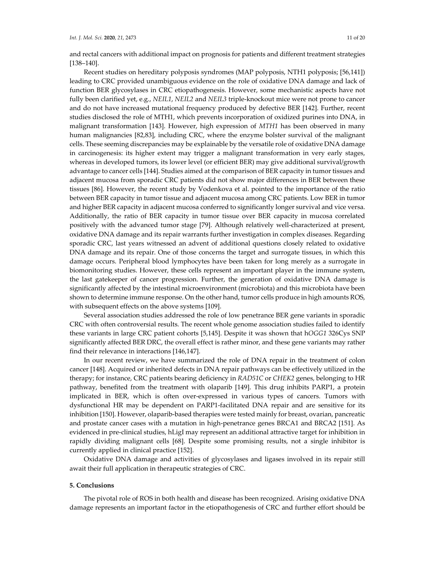and rectal cancers with additional impact on prognosis for patients and different treatment strategies [138–140].

Recent studies on hereditary polyposis syndromes (MAP polyposis, NTH1 polyposis; [56,141]) leading to CRC provided unambiguous evidence on the role of oxidative DNA damage and lack of function BER glycosylases in CRC etiopathogenesis. However, some mechanistic aspects have not fully been clarified yet, e.g., *NEIL1*, *NEIL2* and *NEIL3* triple‐knockout mice were not prone to cancer and do not have increased mutational frequency produced by defective BER [142]. Further, recent studies disclosed the role of MTH1, which prevents incorporation of oxidized purines into DNA, in malignant transformation [143]. However, high expression of *MTH1* has been observed in many human malignancies [82,83], including CRC, where the enzyme bolster survival of the malignant cells. These seeming discrepancies may be explainable by the versatile role of oxidative DNA damage in carcinogenesis: its higher extent may trigger a malignant transformation in very early stages, whereas in developed tumors, its lower level (or efficient BER) may give additional survival/growth advantage to cancer cells [144]. Studies aimed at the comparison of BER capacity in tumor tissues and adjacent mucosa from sporadic CRC patients did not show major differences in BER between these tissues [86]. However, the recent study by Vodenkova et al. pointed to the importance of the ratio between BER capacity in tumor tissue and adjacent mucosa among CRC patients. Low BER in tumor and higher BER capacity in adjacent mucosa conferred to significantly longer survival and vice versa. Additionally, the ratio of BER capacity in tumor tissue over BER capacity in mucosa correlated positively with the advanced tumor stage [79]. Although relatively well‐characterized at present, oxidative DNA damage and its repair warrants further investigation in complex diseases. Regarding sporadic CRC, last years witnessed an advent of additional questions closely related to oxidative DNA damage and its repair. One of those concerns the target and surrogate tissues, in which this damage occurs. Peripheral blood lymphocytes have been taken for long merely as a surrogate in biomonitoring studies. However, these cells represent an important player in the immune system, the last gatekeeper of cancer progression. Further, the generation of oxidative DNA damage is significantly affected by the intestinal microenvironment (microbiota) and this microbiota have been shown to determine immune response. On the other hand, tumor cells produce in high amounts ROS, with subsequent effects on the above systems [109].

Several association studies addressed the role of low penetrance BER gene variants in sporadic CRC with often controversial results. The recent whole genome association studies failed to identify these variants in large CRC patient cohorts [5,145]. Despite it was shown that h*OGG1* 326Cys SNP significantly affected BER DRC, the overall effect is rather minor, and these gene variants may rather find their relevance in interactions [146,147].

In our recent review, we have summarized the role of DNA repair in the treatment of colon cancer [148]. Acquired or inherited defects in DNA repair pathways can be effectively utilized in the therapy; for instance, CRC patients bearing deficiency in *RAD51C* or *CHEK2* genes, belonging to HR pathway, benefited from the treatment with olaparib [149]. This drug inhibits PARP1, a protein implicated in BER, which is often over‐expressed in various types of cancers. Tumors with dysfunctional HR may be dependent on PARP1‐facilitated DNA repair and are sensitive for its inhibition [150]. However, olaparib‐based therapies were tested mainly for breast, ovarian, pancreatic and prostate cancer cases with a mutation in high-penetrance genes BRCA1 and BRCA2 [151]. As evidenced in pre‐clinical studies, hLigI may represent an additional attractive target for inhibition in rapidly dividing malignant cells [68]. Despite some promising results, not a single inhibitor is currently applied in clinical practice [152].

Oxidative DNA damage and activities of glycosylases and ligases involved in its repair still await their full application in therapeutic strategies of CRC.

## **5. Conclusions**

The pivotal role of ROS in both health and disease has been recognized. Arising oxidative DNA damage represents an important factor in the etiopathogenesis of CRC and further effort should be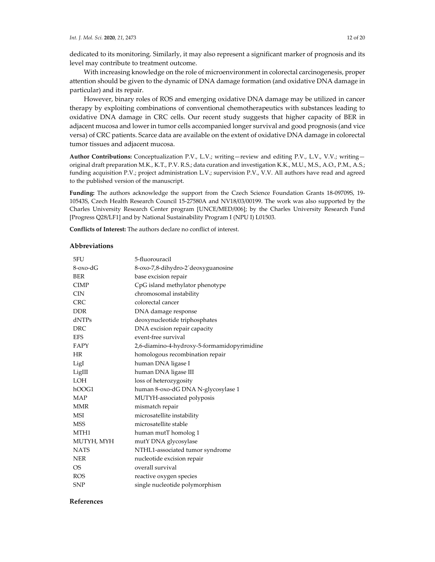dedicated to its monitoring. Similarly, it may also represent a significant marker of prognosis and its level may contribute to treatment outcome.

With increasing knowledge on the role of microenvironment in colorectal carcinogenesis, proper attention should be given to the dynamic of DNA damage formation (and oxidative DNA damage in particular) and its repair.

However, binary roles of ROS and emerging oxidative DNA damage may be utilized in cancer therapy by exploiting combinations of conventional chemotherapeutics with substances leading to oxidative DNA damage in CRC cells. Our recent study suggests that higher capacity of BER in adjacent mucosa and lowerin tumor cells accompanied longer survival and good prognosis (and vice versa) of CRC patients. Scarce data are available on the extent of oxidative DNA damage in colorectal tumor tissues and adjacent mucosa.

**Author Contributions:** Conceptualization P.V., L.V.; writing—review and editing P.V., L.V., V.V.; writing original draft preparation M.K., K.T., P.V. R.S.; data curation and investigation K.K., M.U., M.S., A.O., P.M., A.S.; funding acquisition P.V.; project administration L.V.; supervision P.V., V.V. All authors have read and agreed to the published version of the manuscript.

**Funding:** The authors acknowledge the support from the Czech Science Foundation Grants 18‐09709S, 19‐ 10543S, Czech Health Research Council 15‐27580A and NV18/03/00199. The work was also supported by the Charles University Research Center program [UNCE/MED/006]; by the Charles University Research Fund [Progress Q28/LF1] and by National Sustainability Program I (NPU I) L01503.

**Conflicts of Interest:** The authors declare no conflict of interest.

# **Abbreviations**

| 5FU              | 5-fluorouracil                              |
|------------------|---------------------------------------------|
| $8$ -oxo-d $G$   | 8-oxo-7,8-dihydro-2'deoxyguanosine          |
| <b>BER</b>       | base excision repair                        |
| <b>CIMP</b>      | CpG island methylator phenotype             |
| <b>CIN</b>       | chromosomal instability                     |
| CRC.             | colorectal cancer                           |
| <b>DDR</b>       | DNA damage response                         |
| dNTPs            | deoxynucleotide triphosphates               |
| DRC.             | DNA excision repair capacity                |
| <b>EFS</b>       | event-free survival                         |
| FAPY             | 2,6-diamino-4-hydroxy-5-formamidopyrimidine |
| HR               | homologous recombination repair             |
| LigI             | human DNA ligase I                          |
| LigIII           | human DNA ligase III                        |
| <b>LOH</b>       | loss of heterozygosity                      |
| hOOG1            | human 8-oxo-dG DNA N-glycosylase 1          |
| MAP              | MUTYH-associated polyposis                  |
| <b>MMR</b>       | mismatch repair                             |
| MSI              | microsatellite instability                  |
| <b>MSS</b>       | microsatellite stable                       |
| MTH <sub>1</sub> | human mutT homolog 1                        |
| MUTYH, MYH       | mutY DNA glycosylase                        |
| <b>NATS</b>      | NTHL1-associated tumor syndrome             |
| <b>NER</b>       | nucleotide excision repair                  |
| OS.              | overall survival                            |
| <b>ROS</b>       | reactive oxygen species                     |
| SNP              | single nucleotide polymorphism              |

### **References**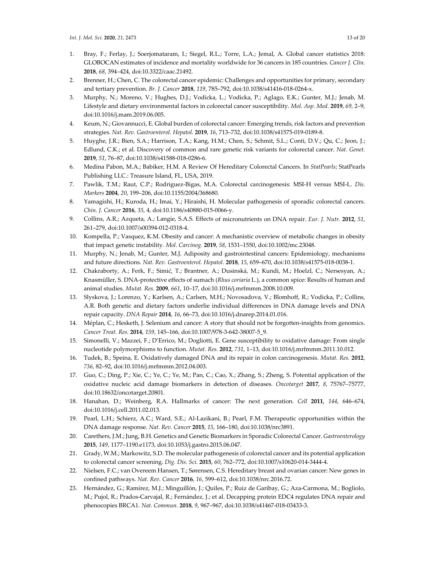- 1. Bray, F.; Ferlay, J.; Soerjomataram, I.; Siegel, R.L.; Torre, L.A.; Jemal, A. Global cancer statistics 2018: GLOBOCAN estimates of incidence and mortality worldwide for 36 cancers in 185 countries. *Cancer J. Clin.* **2018**, *68*, 394–424, doi:10.3322/caac.21492.
- 2. Brenner, H.; Chen, C. The colorectal cancer epidemic: Challenges and opportunities for primary, secondary and tertiary prevention. *Br. J. Cancer* **2018**, *119*, 785–792, doi:10.1038/s41416‐018‐0264‐x.
- 3. Murphy, N.; Moreno, V.; Hughes, D.J.; Vodicka, L.; Vodicka, P.; Aglago, E.K.; Gunter, M.J.; Jenab, M. Lifestyle and dietary environmental factors in colorectal cancer susceptibility. *Mol. Asp. Med.* **2019**, *69*, 2–9, doi:10.1016/j.mam.2019.06.005.
- 4. Keum, N.; Giovannucci, E. Global burden of colorectal cancer: Emerging trends, risk factors and prevention strategies. *Nat. Rev. Gastroenterol. Hepatol.* **2019**, *16*, 713–732, doi:10.1038/s41575‐019‐0189‐8.
- 5. Huyghe, J.R.; Bien, S.A.; Harrison, T.A.; Kang, H.M.; Chen, S.; Schmit, S.L.; Conti, D.V.; Qu, C.; Jeon, J.; Edlund, C.K.; et al. Discovery of common and rare genetic risk variants for colorectal cancer. *Nat. Genet.* **2019**, *51*, 76–87, doi:10.1038/s41588‐018‐0286‐6.
- 6. Medina Pabon, M.A.; Babiker, H.M. A Review Of Hereditary Colorectal Cancers. In *StatPearls*; StatPearls Publishing LLC.: Treasure Island, FL, USA, 2019.
- 7. Pawlik, T.M.; Raut, C.P.; Rodriguez‐Bigas, M.A. Colorectal carcinogenesis: MSI‐H versus MSI‐L. *Dis. Markers* **2004**, *20*, 199–206, doi:10.1155/2004/368680.
- 8. Yamagishi, H.; Kuroda, H.; Imai, Y.; Hiraishi, H. Molecular pathogenesis of sporadic colorectal cancers. *Chin. J. Cancer* **2016**, *35*, 4, doi:10.1186/s40880‐015‐0066‐y.
- 9. Collins, A.R.; Azqueta, A.; Langie, S.A.S. Effects of micronutrients on DNA repair. *Eur. J. Nutr.* **2012**, *51*, 261–279, doi:10.1007/s00394‐012‐0318‐4.
- 10. Kompella, P.; Vasquez, K.M. Obesity and cancer: A mechanistic overview of metabolic changes in obesity that impact genetic instability. *Mol. Carcinog.* **2019**, *58*, 1531–1550, doi:10.1002/mc.23048.
- 11. Murphy, N.; Jenab, M.; Gunter, M.J. Adiposity and gastrointestinal cancers: Epidemiology, mechanisms and future directions. *Nat. Rev. Gastroenterol. Hepatol.* **2018**, *15*, 659–670, doi:10.1038/s41575‐018‐0038‐1.
- 12. Chakraborty, A.; Ferk, F.; Simić, T.; Brantner, A.; Dusinská, M.; Kundi, M.; Hoelzl, C.; Nersesyan, A.; Knasmüller, S. DNA‐protective effects of sumach (*Rhus coriaria* L.), a common spice: Results of human and animal studies. *Mutat. Res.* **2009**, *661*, 10–17, doi:10.1016/j.mrfmmm.2008.10.009.
- 13. Slyskova, J.; Lorenzo, Y.; Karlsen, A.; Carlsen, M.H.; Novosadova, V.; Blomhoff, R.; Vodicka, P.; Collins, A.R. Both genetic and dietary factors underlie individual differences in DNA damage levels and DNA repair capacity. *DNA Repair* **2014**, *16*, 66–73, doi:10.1016/j.dnarep.2014.01.016.
- 14. Méplan, C.; Hesketh, J. Selenium and cancer: A story that should not be forgotten-insights from genomics. *Cancer Treat. Res.* **2014**, *159*, 145–166, doi:10.1007/978‐3‐642‐38007‐5\_9.
- 15. Simonelli, V.; Mazzei, F.; D'Errico, M.; Dogliotti, E. Gene susceptibility to oxidative damage: From single nucleotide polymorphisms to function. *Mutat. Res.* **2012**, *731*, 1–13, doi:10.1016/j.mrfmmm.2011.10.012.
- 16. Tudek, B.; Speina, E. Oxidatively damaged DNA and its repair in colon carcinogenesis. *Mutat. Res.* **2012**, *736*, 82–92, doi:10.1016/j.mrfmmm.2012.04.003.
- 17. Guo, C.; Ding, P.; Xie, C.; Ye, C.; Ye, M.; Pan, C.; Cao, X.; Zhang, S.; Zheng, S. Potential application of the oxidative nucleic acid damage biomarkers in detection of diseases. *Oncotarget* **2017**, *8*, 75767–75777, doi:10.18632/oncotarget.20801.
- 18. Hanahan, D.; Weinberg, R.A. Hallmarks of cancer: The next generation. *Cell* **2011**, *144*, 646–674, doi:10.1016/j.cell.2011.02.013.
- 19. Pearl, L.H.; Schierz, A.C.; Ward, S.E.; Al‐Lazikani, B.; Pearl, F.M. Therapeutic opportunities within the DNA damage response. *Nat. Rev. Cancer* **2015**, *15*, 166–180, doi:10.1038/nrc3891.
- 20. Carethers, J.M.; Jung, B.H. Genetics and Genetic Biomarkers in Sporadic Colorectal Cancer. *Gastroenterology* **2015**, *149*, 1177–1190.e1173, doi:10.1053/j.gastro.2015.06.047.
- 21. Grady, W.M.; Markowitz, S.D. The molecular pathogenesis of colorectal cancer and its potential application to colorectal cancer screening. *Dig. Dis. Sci.* **2015**, *60*, 762–772, doi:10.1007/s10620‐014‐3444‐4.
- 22. Nielsen, F.C.; van Overeem Hansen, T.; Sørensen, C.S. Hereditary breast and ovarian cancer: New genes in confined pathways. *Nat. Rev. Cancer* **2016**, *16*, 599–612, doi:10.1038/nrc.2016.72.
- 23. Hernández, G.; Ramírez, M.J.; Minguillón, J.; Quiles, P.; Ruiz de Garibay, G.; Aza‐Carmona, M.; Bogliolo, M.; Pujol, R.; Prados‐Carvajal, R.; Fernández, J.; et al. Decapping protein EDC4 regulates DNA repair and phenocopies BRCA1. *Nat. Commun.* **2018**, *9*, 967–967, doi:10.1038/s41467‐018‐03433‐3.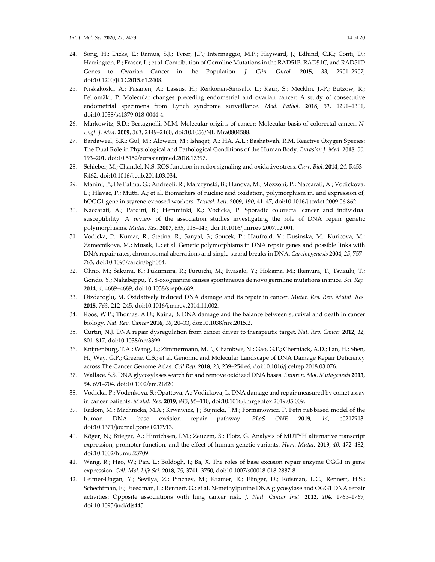- 24. Song, H.; Dicks, E.; Ramus, S.J.; Tyrer, J.P.; Intermaggio, M.P.; Hayward, J.; Edlund, C.K.; Conti, D.; Harrington, P.; Fraser, L.; et al. Contribution of Germline Mutations in the RAD51B, RAD51C, and RAD51D Genes to Ovarian Cancer in the Population. *J. Clin. Oncol.* **2015**, *33*, 2901–2907, doi:10.1200/JCO.2015.61.2408.
- 25. Niskakoski, A.; Pasanen, A.; Lassus, H.; Renkonen‐Sinisalo, L.; Kaur, S.; Mecklin, J.‐P.; Bützow, R.; Peltomäki, P. Molecular changes preceding endometrial and ovarian cancer: A study of consecutive endometrial specimens from Lynch syndrome surveillance. *Mod. Pathol.* **2018**, *31*, 1291–1301, doi:10.1038/s41379‐018‐0044‐4.
- 26. Markowitz, S.D.; Bertagnolli, M.M. Molecular origins of cancer: Molecular basis of colorectal cancer. *N. Engl. J. Med.* **2009**, *361*, 2449–2460, doi:10.1056/NEJMra0804588.
- 27. Bardaweel, S.K.; Gul, M.; Alzweiri, M.; Ishaqat, A.; HA, A.L.; Bashatwah, R.M. Reactive Oxygen Species: The Dual Role in Physiological and Pathological Conditions of the Human Body. *Eurasian J. Med.* **2018**, *50*, 193–201, doi:10.5152/eurasianjmed.2018.17397.
- 28. Schieber, M.; Chandel, N.S. ROS function in redox signaling and oxidative stress. *Curr. Biol.* **2014**, *24*, R453– R462, doi:10.1016/j.cub.2014.03.034.
- 29. Manini, P.; De Palma, G.; Andreoli, R.; Marczynski, B.; Hanova, M.; Mozzoni, P.; Naccarati, A.; Vodickova, L.; Hlavac, P.; Mutti, A.; et al. Biomarkers of nucleic acid oxidation, polymorphism in, and expression of, hOGG1 gene in styrene‐exposed workers. *Toxicol. Lett.* **2009**, *190*, 41–47, doi:10.1016/j.toxlet.2009.06.862.
- 30. Naccarati, A.; Pardini, B.; Hemminki, K.; Vodicka, P. Sporadic colorectal cancer and individual susceptibility: A review of the association studies investigating the role of DNA repair genetic polymorphisms. *Mutat. Res.* **2007**, *635*, 118–145, doi:10.1016/j.mrrev.2007.02.001.
- 31. Vodicka, P.; Kumar, R.; Stetina, R.; Sanyal, S.; Soucek, P.; Haufroid, V.; Dusinska, M.; Kuricova, M.; Zamecnikova, M.; Musak, L.; et al. Genetic polymorphisms in DNA repair genes and possible links with DNA repair rates, chromosomal aberrations and single‐strand breaks in DNA. *Carcinogenesis* **2004**, *25*, 757– 763, doi:10.1093/carcin/bgh064.
- 32. Ohno, M.; Sakumi, K.; Fukumura, R.; Furuichi, M.; Iwasaki, Y.; Hokama, M.; Ikemura, T.; Tsuzuki, T.; Gondo, Y.; Nakabeppu, Y. 8‐oxoguanine causes spontaneous de novo germline mutations in mice. *Sci. Rep.* **2014**, *4*, 4689–4689, doi:10.1038/srep04689.
- 33. Dizdaroglu, M. Oxidatively induced DNA damage and its repair in cancer. *Mutat. Res. Rev. Mutat. Res.* **2015**, *763*, 212–245, doi:10.1016/j.mrrev.2014.11.002.
- 34. Roos, W.P.; Thomas, A.D.; Kaina, B. DNA damage and the balance between survival and death in cancer biology. *Nat. Rev. Cancer* **2016**, *16*, 20–33, doi:10.1038/nrc.2015.2.
- 35. Curtin, N.J. DNA repair dysregulation from cancer driver to therapeutic target. *Nat. Rev. Cancer* **2012**, *12*, 801–817, doi:10.1038/nrc3399.
- 36. Knijnenburg, T.A.; Wang, L.; Zimmermann, M.T.; Chambwe, N.; Gao, G.F.; Cherniack, A.D.; Fan, H.; Shen, H.; Way, G.P.; Greene, C.S.; et al. Genomic and Molecular Landscape of DNA Damage Repair Deficiency across The Cancer Genome Atlas. *Cell Rep.* **2018**, *23*, 239–254.e6, doi:10.1016/j.celrep.2018.03.076.
- 37. Wallace, S.S. DNA glycosylases search for and remove oxidized DNA bases. *Environ. Mol. Mutagenesis* **2013**, *54*, 691–704, doi:10.1002/em.21820.
- 38. Vodicka, P.; Vodenkova, S.; Opattova, A.; Vodickova, L. DNA damage and repair measured by comet assay in cancer patients. *Mutat. Res.* **2019**, *843*, 95–110, doi:10.1016/j.mrgentox.2019.05.009.
- 39. Radom, M.; Machnicka, M.A.; Krwawicz, J.; Bujnicki, J.M.; Formanowicz, P. Petri net‐based model of the human DNA base excision repair pathway. *PLoS ONE* **2019**, *14*, e0217913, doi:10.1371/journal.pone.0217913.
- 40. Köger, N.; Brieger, A.; Hinrichsen, I.M.; Zeuzem, S.; Plotz, G. Analysis of MUTYH alternative transcript expression, promoter function, and the effect of human genetic variants. *Hum. Mutat.* **2019**, *40*, 472–482, doi:10.1002/humu.23709.
- 41. Wang, R.; Hao, W.; Pan, L.; Boldogh, I.; Ba, X. The roles of base excision repair enzyme OGG1 in gene expression. *Cell. Mol. Life Sci.* **2018**, *75*, 3741–3750, doi:10.1007/s00018‐018‐2887‐8.
- 42. Leitner‐Dagan, Y.; Sevilya, Z.; Pinchev, M.; Kramer, R.; Elinger, D.; Roisman, L.C.; Rennert, H.S.; Schechtman, E.; Freedman, L.; Rennert, G.; et al. N‐methylpurine DNA glycosylase and OGG1 DNA repair activities: Opposite associations with lung cancer risk. *J. Natl. Cancer Inst.* **2012**, *104*, 1765–1769, doi:10.1093/jnci/djs445.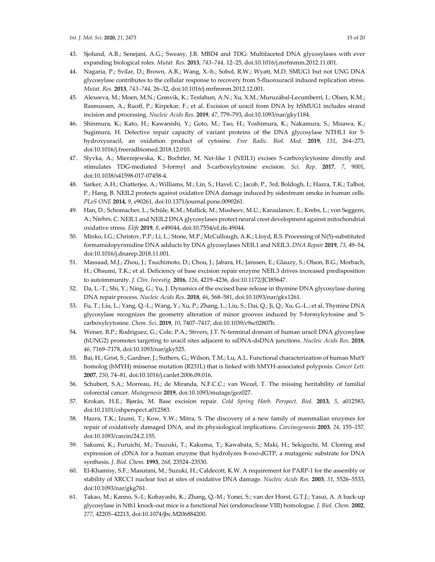- 43. Sjolund, A.B.; Senejani, A.G.; Sweasy, J.B. MBD4 and TDG: Multifaceted DNA glycosylases with ever expanding biological roles. *Mutat. Res.* **2013**, *743–744*, 12*–*25, doi:10.1016/j.mrfmmm.2012.11.001.
- 44. Nagaria, P.; Svilar, D.; Brown, A.R.; Wang, X.‐h.; Sobol, R.W.; Wyatt, M.D. SMUG1 but not UNG DNA glycosylase contributes to the cellular response to recovery from 5‐fluorouracil induced replication stress. *Mutat. Res.* **2013**, *743–744*, 26–32, doi:10.1016/j.mrfmmm.2012.12.001.
- 45. Alexeeva, M.; Moen, M.N.; Grøsvik, K.; Tesfahun, A.N.; Xu, X.M.; Muruzábal‐Lecumberri, I.; Olsen, K.M.; Rasmussen, A.; Ruoff, P.; Kirpekar, F.; et al. Excision of uracil from DNA by hSMUG1 includes strand incision and processing. *Nucleic Acids Res.* **2019**, *47*, 779–793, doi:10.1093/nar/gky1184.
- 46. Shinmura, K.; Kato, H.; Kawanishi, Y.; Goto, M.; Tao, H.; Yoshimura, K.; Nakamura, S.; Misawa, K.; Sugimura, H. Defective repair capacity of variant proteins of the DNA glycosylase NTHL1 for 5‐ hydroxyuracil, an oxidation product of cytosine. *Free Radic. Biol. Med.* **2019**, *131*, 264–273, doi:10.1016/j.freeradbiomed.2018.12.010.
- 47. Slyvka, A.; Mierzejewska, K.; Bochtler, M. Nei-like 1 (NEIL1) excises 5-carboxylcytosine directly and stimulates TDG‐mediated 5‐formyl and 5‐carboxylcytosine excision. *Sci. Rep.* **2017**, *7*, 9001, doi:10.1038/s41598‐017‐07458‐4.
- 48. Sarker, A.H.; Chatterjee, A.; Williams, M.; Lin, S.; Havel, C.; Jacob, P., 3rd; Boldogh, I.; Hazra, T.K.; Talbot, P.; Hang, B. NEIL2 protects against oxidative DNA damage induced by sidestream smoke in human cells. *PLoS ONE* **2014**, *9*, e90261, doi:10.1371/journal.pone.0090261.
- 49. Han, D.; Schomacher, L.; Schüle, K.M.; Mallick, M.; Musheev, M.U.; Karaulanov, E.; Krebs, L.; von Seggern, A.; Niehrs, C. NEIL1 and NEIL2 DNA glycosylases protect neural crest development against mitochondrial oxidative stress. *Elife* **2019**, *8*, e49044, doi:10.7554/eLife.49044.
- 50. Minko, I.G.; Christov, P.P.; Li, L.; Stone, M.P.; McCullough, A.K.; Lloyd, R.S. Processing of N(5)‐substituted formamidopyrimidine DNA adducts by DNA glycosylases NEIL1 and NEIL3. *DNA Repair* **2019**, *73*, 49–54, doi:10.1016/j.dnarep.2018.11.001.
- 51. Massaad, M.J.; Zhou, J.; Tsuchimoto, D.; Chou, J.; Jabara, H.; Janssen, E.; Glauzy, S.; Olson, B.G.; Morbach, H.; Ohsumi, T.K.; et al. Deficiency of base excision repair enzyme NEIL3 drives increased predisposition to autoimmunity. *J. Clin. Investig.* **2016**, *126*, 4219–4236, doi:10.1172/JCI85647.
- 52. Da, L.‐T.; Shi, Y.; Ning, G.; Yu, J. Dynamics of the excised base release in thymine DNA glycosylase during DNA repair process. *Nucleic Acids Res.* **2018**, *46*, 568–581, doi:10.1093/nar/gkx1261.
- 53. Fu, T.; Liu, L.; Yang, Q.‐L.; Wang, Y.; Xu, P.; Zhang, L.; Liu, S.; Dai, Q.; Ji, Q.; Xu, G.‐L.; et al. Thymine DNA glycosylase recognizes the geometry alteration of minor grooves induced by 5‐formylcytosine and 5‐ carboxylcytosine. *Chem. Sci.* **2019**, *10*, 7407–7417, doi:10.1039/c9sc02807b.
- 54. Weiser, B.P.; Rodriguez, G.; Cole, P.A.; Stivers, J.T. N-terminal domain of human uracil DNA glycosylase (hUNG2) promotes targeting to uracil sites adjacent to ssDNA‐dsDNA junctions. *Nucleic Acids Res.* **2018**, *46*, 7169–7178, doi:10.1093/nar/gky525.
- 55. Bai, H.; Grist, S.; Gardner, J.; Suthers, G.; Wilson, T.M.; Lu, A.L. Functional characterization of human MutY homolog (hMYH) missense mutation (R231L) that is linked with hMYH‐associated polyposis. *Cancer Lett.* **2007**, *250*, 74–81, doi:10.1016/j.canlet.2006.09.016.
- 56. Schubert, S.A.; Morreau, H.; de Miranda, N.F.C.C.; van Wezel, T. The missing heritability of familial colorectal cancer. *Mutagenesis* **2019**, doi:10.1093/mutage/gez027.
- 57. Krokan, H.E.; Bjørås, M. Base excision repair. *Cold Spring Harb. Perspect. Biol.* **2013**, *5*, a012583, doi:10.1101/cshperspect.a012583.
- 58. Hazra, T.K.; Izumi, T.; Kow, Y.W.; Mitra, S. The discovery of a new family of mammalian enzymes for repair of oxidatively damaged DNA, and its physiological implications. *Carcinogenesis* **2003**, *24*, 155–157, doi:10.1093/carcin/24.2.155.
- 59. Sakumi, K.; Furuichi, M.; Tsuzuki, T.; Kakuma, T.; Kawabata, S.; Maki, H.; Sekiguchi, M. Cloning and expression of cDNA for a human enzyme that hydrolyzes 8‐oxo‐dGTP, a mutagenic substrate for DNA synthesis. *J. Biol. Chem.* **1993**, *268*, 23524–23530.
- 60. El‐Khamisy, S.F.; Masutani, M.; Suzuki, H.; Caldecott, K.W. A requirement for PARP‐1 for the assembly or stability of XRCC1 nuclear foci at sites of oxidative DNA damage. *Nucleic Acids Res.* **2003**, *31*, 5526–5533, doi:10.1093/nar/gkg761.
- 61. Takao, M.; Kanno, S.‐I.; Kobayashi, K.; Zhang, Q.‐M.; Yonei, S.; van der Horst, G.T.J.; Yasui, A. A back‐up glycosylase in Nth1 knock‐out mice is a functional Nei (endonuclease VIII) homologue. *J. Biol. Chem.* **2002**, *277*, 42205–42213, doi:10.1074/jbc.M206884200.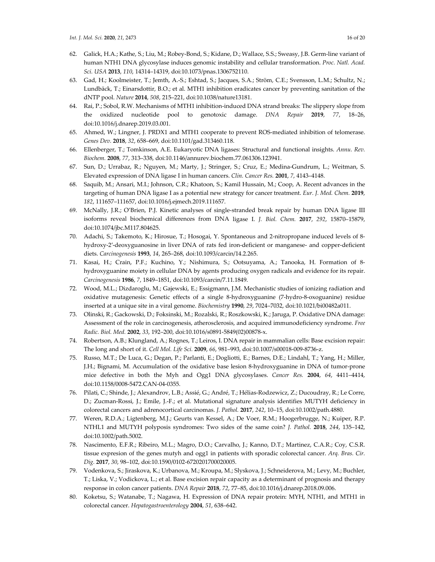- 62. Galick, H.A.; Kathe, S.; Liu, M.; Robey‐Bond, S.; Kidane, D.; Wallace, S.S.; Sweasy, J.B. Germ‐line variant of human NTH1 DNA glycosylase induces genomic instability and cellular transformation. *Proc. Natl. Acad. Sci. USA* **2013**, *110*, 14314–14319, doi:10.1073/pnas.1306752110.
- 63. Gad, H.; Koolmeister, T.; Jemth, A.‐S.; Eshtad, S.; Jacques, S.A.; Ström, C.E.; Svensson, L.M.; Schultz, N.; Lundbäck, T.; Einarsdottir, B.O.; et al. MTH1 inhibition eradicates cancer by preventing sanitation of the dNTP pool. *Nature* **2014**, *508*, 215–221, doi:10.1038/nature13181.
- 64. Rai, P.; Sobol, R.W. Mechanisms of MTH1 inhibition‐induced DNA strand breaks: The slippery slope from the oxidized nucleotide pool to genotoxic damage. *DNA Repair* **2019**, *77*, 18–26, doi:10.1016/j.dnarep.2019.03.001.
- 65. Ahmed, W.; Lingner, J. PRDX1 and MTH1 cooperate to prevent ROS-mediated inhibition of telomerase. *Genes Dev.* **2018**, *32*, 658–669, doi:10.1101/gad.313460.118.
- 66. Ellenberger, T.; Tomkinson, A.E. Eukaryotic DNA ligases: Structural and functional insights. *Annu. Rev. Biochem.* **2008**, *77*, 313–338, doi:10.1146/annurev.biochem.77.061306.123941.
- 67. Sun, D.; Urrabaz, R.; Nguyen, M.; Marty, J.; Stringer, S.; Cruz, E.; Medina‐Gundrum, L.; Weitman, S. Elevated expression of DNA ligase I in human cancers. *Clin. Cancer Res.* **2001**, *7*, 4143–4148.
- 68. Saquib, M.; Ansari, M.I.; Johnson, C.R.; Khatoon, S.; Kamil Hussain, M.; Coop, A. Recent advances in the targeting of human DNA ligase I as a potential new strategy for cancer treatment. *Eur. J. Med. Chem.* **2019**, *182*, 111657–111657, doi:10.1016/j.ejmech.2019.111657.
- 69. McNally, J.R.; O'Brien, P.J. Kinetic analyses of single‐stranded break repair by human DNA ligase III isoforms reveal biochemical differences from DNA ligase I. *J. Biol. Chem.* **2017**, *292*, 15870–15879, doi:10.1074/jbc.M117.804625.
- 70. Adachi, S.; Takemoto, K.; Hirosue, T.; Hosogai, Y. Spontaneous and 2-nitropropane induced levels of 8hydroxy-2'-deoxyguanosine in liver DNA of rats fed iron-deficient or manganese- and copper-deficient diets. *Carcinogenesis* **1993**, *14*, 265–268, doi:10.1093/carcin/14.2.265.
- 71. Kasai, H.; Crain, P.F.; Kuchino, Y.; Nishimura, S.; Ootsuyama, A.; Tanooka, H. Formation of 8‐ hydroxyguanine moiety in cellular DNA by agents producing oxygen radicals and evidence for its repair. *Carcinogenesis* **1986**, *7*, 1849–1851, doi:10.1093/carcin/7.11.1849.
- 72. Wood, M.L.; Dizdaroglu, M.; Gajewski, E.; Essigmann, J.M. Mechanistic studies of ionizing radiation and oxidative mutagenesis: Genetic effects of a single 8‐hydroxyguanine (7‐hydro‐8‐oxoguanine) residue inserted at a unique site in a viral genome. *Biochemistry* **1990**, *29*, 7024–7032, doi:10.1021/bi00482a011.
- 73. Olinski, R.; Gackowski, D.; Foksinski, M.; Rozalski, R.; Roszkowski, K.; Jaruga, P. Oxidative DNA damage: Assessment of the role in carcinogenesis, atherosclerosis, and acquired immunodeficiency syndrome. *Free Radic. Biol. Med.* **2002**, *33*, 192–200, doi:10.1016/s0891‐5849(02)00878‐x.
- 74. Robertson, A.B.; Klungland, A.; Rognes, T.; Leiros, I. DNA repair in mammalian cells: Base excision repair: The long and short of it. *Cell Mol. Life Sci.* **2009**, *66*, 981–993, doi:10.1007/s00018‐009‐8736‐z.
- 75. Russo, M.T.; De Luca, G.; Degan, P.; Parlanti, E.; Dogliotti, E.; Barnes, D.E.; Lindahl, T.; Yang, H.; Miller, J.H.; Bignami, M. Accumulation of the oxidative base lesion 8‐hydroxyguanine in DNA of tumor‐prone mice defective in both the Myh and Ogg1 DNA glycosylases. *Cancer Res.* **2004**, *64*, 4411–4414, doi:10.1158/0008‐5472.CAN‐04‐0355.
- 76. Pilati, C.; Shinde, J.; Alexandrov, L.B.; Assié, G.; André, T.; Hélias‐Rodzewicz, Z.; Ducoudray, R.; Le Corre, D.; Zucman-Rossi, J.; Emile, J.-F.; et al. Mutational signature analysis identifies MUTYH deficiency in colorectal cancers and adrenocortical carcinomas. *J. Pathol.* **2017**, *242*, 10–15, doi:10.1002/path.4880.
- 77. Weren, R.D.A.; Ligtenberg, M.J.; Geurts van Kessel, A.; De Voer, R.M.; Hoogerbrugge, N.; Kuiper, R.P. NTHL1 and MUTYH polyposis syndromes: Two sides of the same coin? *J. Pathol.* **2018**, *244*, 135–142, doi:10.1002/path.5002.
- 78. Nascimento, E.F.R.; Ribeiro, M.L.; Magro, D.O.; Carvalho, J.; Kanno, D.T.; Martinez, C.A.R.; Coy, C.S.R. tissue expresion of the genes mutyh and ogg1 in patients with sporadic colorectal cancer. *Arq. Bras. Cir. Dig.* **2017**, *30*, 98–102, doi:10.1590/0102‐6720201700020005.
- 79. Vodenkova, S.; Jiraskova, K.; Urbanova, M.; Kroupa, M.; Slyskova, J.; Schneiderova, M.; Levy, M.; Buchler, T.; Liska, V.; Vodickova, L.; et al. Base excision repair capacity as a determinant of prognosis and therapy response in colon cancer patients. *DNA Repair* **2018**, *72*, 77–85, doi:10.1016/j.dnarep.2018.09.006.
- 80. Koketsu, S.; Watanabe, T.; Nagawa, H. Expression of DNA repair protein: MYH, NTH1, and MTH1 in colorectal cancer. *Hepatogastroenterology* **2004**, *51*, 638–642.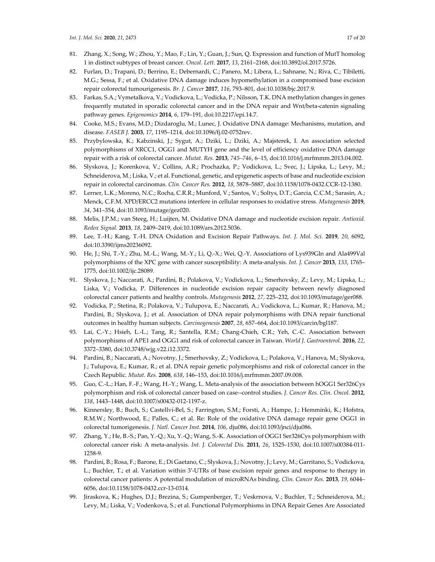- 82. Furlan, D.; Trapani, D.; Berrino, E.; Debernardi, C.; Panero, M.; Libera, L.; Sahnane, N.; Riva, C.; Tibiletti, M.G.; Sessa, F.; et al. Oxidative DNA damage induces hypomethylation in a compromised base excision repair colorectal tumourigenesis. *Br. J. Cancer* **2017**, *116*, 793–801, doi:10.1038/bjc.2017.9.
- 83. Farkas, S.A.; Vymetalkova, V.; Vodickova, L.; Vodicka, P.; Nilsson, T.K. DNA methylation changes in genes frequently mutated in sporadic colorectal cancer and in the DNA repair and Wnt/beta‐catenin signaling pathway genes. *Epigenomics* **2014**, *6*, 179–191, doi:10.2217/epi.14.7.
- 84. Cooke, M.S.; Evans, M.D.; Dizdaroglu, M.; Lunec, J. Oxidative DNA damage: Mechanisms, mutation, and disease. *FASEB J.* **2003**, *17*, 1195–1214, doi:10.1096/fj.02‐0752rev.
- 85. Przybylowska, K.; Kabzinski, J.; Sygut, A.; Dziki, L.; Dziki, A.; Majsterek, I. An association selected polymorphisms of XRCC1, OGG1 and MUTYH gene and the level of efficiency oxidative DNA damage repair with a risk of colorectal cancer. *Mutat. Res.* **2013**, *745–746*, 6*–*15, doi:10.1016/j.mrfmmm.2013.04.002.
- 86. Slyskova, J.; Korenkova, V.; Collins, A.R.; Prochazka, P.; Vodickova, L.; Svec, J.; Lipska, L.; Levy, M.; Schneiderova, M.; Liska, V.; et al. Functional, genetic, and epigenetic aspects of base and nucleotide excision repair in colorectal carcinomas. *Clin. Cancer Res.* **2012**, *18*, 5878–5887, doi:10.1158/1078‐0432.CCR‐12‐1380.
- 87. Lerner, L.K.; Moreno, N.C.; Rocha, C.R.R.; Munford, V.; Santos, V.; Soltys, D.T.; Garcia, C.C.M.; Sarasin, A.; Menck, C.F.M. XPD/ERCC2 mutations interfere in cellular responses to oxidative stress. *Mutagenesis* **2019**, *34*, 341–354, doi:10.1093/mutage/gez020.
- 88. Melis, J.P.M.; van Steeg, H.; Luijten, M. Oxidative DNA damage and nucleotide excision repair. *Antioxid. Redox Signal.* **2013**, *18*, 2409–2419, doi:10.1089/ars.2012.5036.
- 89. Lee, T.‐H.; Kang, T.‐H. DNA Oxidation and Excision Repair Pathways. *Int. J. Mol. Sci.* **2019**, *20*, 6092, doi:10.3390/ijms20236092.
- 90. He, J.; Shi, T.‐Y.; Zhu, M.‐L.; Wang, M.‐Y.; Li, Q.‐X.; Wei, Q.‐Y. Associations of Lys939Gln and Ala499Val polymorphisms of the XPC gene with cancer susceptibility: A meta‐analysis. *Int. J. Cancer* **2013**, *133*, 1765– 1775, doi:10.1002/ijc.28089.
- 91. Slyskova, J.; Naccarati, A.; Pardini, B.; Polakova, V.; Vodickova, L.; Smerhovsky, Z.; Levy, M.; Lipska, L.; Liska, V.; Vodicka, P. Differences in nucleotide excision repair capacity between newly diagnosed colorectal cancer patients and healthy controls. *Mutagenesis* **2012**, *27*, 225–232, doi:10.1093/mutage/ger088.
- 92. Vodicka, P.; Stetina, R.; Polakova, V.; Tulupova, E.; Naccarati, A.; Vodickova, L.; Kumar, R.; Hanova, M.; Pardini, B.; Slyskova, J.; et al. Association of DNA repair polymorphisms with DNA repair functional outcomes in healthy human subjects. *Carcinogenesis* **2007**, *28*, 657–664, doi:10.1093/carcin/bgl187.
- 93. Lai, C.-Y.; Hsieh, L.-L.; Tang, R.; Santella, R.M.; Chang-Chieh, C.R.; Yeh, C.-C. Association between polymorphisms of APE1 and OGG1 and risk of colorectal cancer in Taiwan. *World J. Gastroenterol.* **2016**, *22*, 3372–3380, doi:10.3748/wjg.v22.i12.3372.
- 94. Pardini, B.; Naccarati, A.; Novotny, J.; Smerhovsky, Z.; Vodickova, L.; Polakova, V.; Hanova, M.; Slyskova, J.; Tulupova, E.; Kumar, R.; et al. DNA repair genetic polymorphisms and risk of colorectal cancer in the Czech Republic. *Mutat. Res.* **2008**, *638*, 146–153, doi:10.1016/j.mrfmmm.2007.09.008.
- 95. Guo, C.-L.; Han, F.-F.; Wang, H.-Y.; Wang, L. Meta-analysis of the association between hOGG1 Ser326Cys polymorphism and risk of colorectal cancer based on case‐‐control studies. *J. Cancer Res. Clin. Oncol.* **2012**, *138*, 1443–1448, doi:10.1007/s00432‐012‐1197‐z.
- 96. Kinnersley, B.; Buch, S.; Castellví‐Bel, S.; Farrington, S.M.; Forsti, A.; Hampe, J.; Hemminki, K.; Hofstra, R.M.W.; Northwood, E.; Palles, C.; et al. Re: Role of the oxidative DNA damage repair gene OGG1 in colorectal tumorigenesis. *J. Natl. Cancer Inst.* **2014**, *106*, dju086, doi:10.1093/jnci/dju086.
- 97. Zhang, Y.; He, B.-S.; Pan, Y.-Q.; Xu, Y.-Q.; Wang, S.-K. Association of OGG1 Ser326Cys polymorphism with colorectal cancer risk: A meta‐analysis. *Int. J. Colorectal Dis.* **2011**, *26*, 1525–1530, doi:10.1007/s00384‐011‐ 1258‐9.
- 98. Pardini, B.; Rosa, F.; Barone, E.; Di Gaetano, C.; Slyskova, J.; Novotny, J.; Levy, M.; Garritano, S.; Vodickova, L.; Buchler, T.; et al. Variation within 3'-UTRs of base excision repair genes and response to therapy in colorectal cancer patients: A potential modulation of microRNAs binding. *Clin. Cancer Res.* **2013**, *19*, 6044– 6056, doi:10.1158/1078‐0432.ccr‐13‐0314.
- 99. Jiraskova, K.; Hughes, D.J.; Brezina, S.; Gumpenberger, T.; Veskrnova, V.; Buchler, T.; Schneiderova, M.; Levy, M.; Liska, V.; Vodenkova, S.; et al. Functional Polymorphisms in DNA Repair Genes Are Associated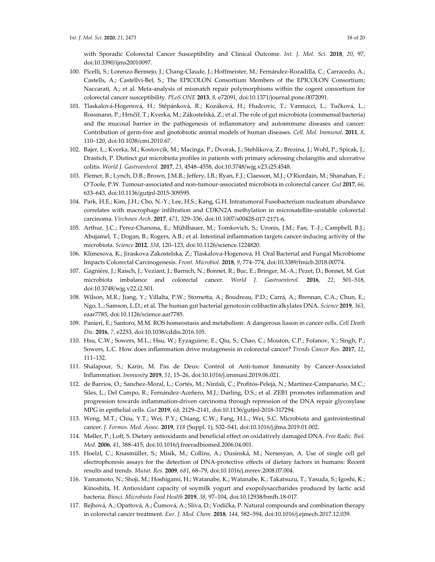with Sporadic Colorectal Cancer Susceptibility and Clinical Outcome. *Int. J. Mol. Sci.* **2018**, *20*, 97, doi:10.3390/ijms20010097.

- 100. Picelli, S.; Lorenzo Bermejo, J.; Chang‐Claude, J.; Hoffmeister, M.; Fernández‐Rozadilla, C.; Carracedo, A.; Castells, A.; Castellví‐Bel, S.; The EPICOLON Consortium Members of the EPICOLON Consortium; Naccarati, A.; et al. Meta‐analysis of mismatch repair polymorphisms within the cogent consortium for colorectal cancer susceptibility. *PLoS ONE* **2013**, *8*, e72091, doi:10.1371/journal.pone.0072091.
- 101. Tlaskalová‐Hogenová, H.; Stěpánková, R.; Kozáková, H.; Hudcovic, T.; Vannucci, L.; Tučková, L.; Rossmann, P.; Hrnčíř, T.; Kverka, M.; Zákostelská, Z.; et al. The role of gut microbiota (commensal bacteria) and the mucosal barrier in the pathogenesis of inflammatory and autoimmune diseases and cancer: Contribution of germ‐free and gnotobiotic animal models of human diseases. *Cell. Mol. Immunol.* **2011**, *8*, 110–120, doi:10.1038/cmi.2010.67.
- 102. Bajer, L.; Kverka, M.; Kostovcik, M.; Macinga, P.; Dvorak, J.; Stehlikova, Z.; Brezina, J.; Wohl, P.; Spicak, J.; Drastich, P. Distinct gut microbiota profiles in patients with primary sclerosing cholangitis and ulcerative colitis. *World J. Gastroenterol.* **2017**, *23*, 4548–4558, doi:10.3748/wjg.v23.i25.4548.
- 103. Flemer, B.; Lynch, D.B.; Brown, J.M.R.; Jeffery, I.B.; Ryan, F.J.; Claesson, M.J.; O'Riordain, M.; Shanahan, F.; O'Toole, P.W. Tumour‐associated and non‐tumour‐associated microbiota in colorectal cancer. *Gut* **2017**, *66*, 633–643, doi:10.1136/gutjnl‐2015‐309595.
- 104. Park, H.E.; Kim, J.H.; Cho, N.‐Y.; Lee, H.S.; Kang, G.H. Intratumoral Fusobacterium nucleatum abundance correlates with macrophage infiltration and CDKN2A methylation in microsatellite-unstable colorectal carcinoma. *Virchows Arch.* **2017**, *471*, 329–336, doi:10.1007/s00428‐017‐2171‐6.
- 105. Arthur, J.C.; Perez‐Chanona, E.; Mühlbauer, M.; Tomkovich, S.; Uronis, J.M.; Fan, T.‐J.; Campbell, B.J.; Abujamel, T.; Dogan, B.; Rogers, A.B.; et al. Intestinal inflammation targets cancer‐inducing activity of the microbiota. *Science* **2012**, *338*, 120–123, doi:10.1126/science.1224820.
- 106. Klimesova, K.; Jiraskova Zakostelska, Z.; Tlaskalova‐Hogenova, H. Oral Bacterial and Fungal Microbiome Impacts Colorectal Carcinogenesis. *Front. Microbiol.* **2018**, *9*, 774–774, doi:10.3389/fmicb.2018.00774.
- 107. Gagnière, J.; Raisch, J.; Veziant, J.; Barnich, N.; Bonnet, R.; Buc, E.; Bringer, M.‐A.; Pezet, D.; Bonnet, M. Gut microbiota imbalance and colorectal cancer. *World J. Gastroenterol.* **2016**, *22*, 501–518, doi:10.3748/wjg.v22.i2.501.
- 108. Wilson, M.R.; Jiang, Y.; Villalta, P.W.; Stornetta, A.; Boudreau, P.D.; Carrá, A.; Brennan, C.A.; Chun, E.; Ngo, L.; Samson, L.D.; et al. The human gut bacterial genotoxin colibactin alkylates DNA. *Science* **2019**, *363*, eaar7785, doi:10.1126/science.aar7785.
- 109. Panieri, E.; Santoro, M.M. ROS homeostasis and metabolism: A dangerous liason in cancer cells. *Cell Death Dis.* **2016**, *7*, e2253, doi:10.1038/cddis.2016.105.
- 110. Hsu, C.W.; Sowers, M.L.; Hsu, W.; Eyzaguirre, E.; Qiu, S.; Chao, C.; Mouton, C.P.; Fofanov, Y.; Singh, P.; Sowers, L.C. How does inflammation drive mutagenesis in colorectal cancer? *Trends Cancer Res.* **2017**, *12*, 111–132.
- 111. Shalapour, S.; Karin, M. Pas de Deux: Control of Anti-tumor Immunity by Cancer-Associated Inflammation. *Immunity* **2019**, *51*, 15–26, doi:10.1016/j.immuni.2019.06.021.
- 112. de Barrios, O.; Sanchez‐Moral, L.; Cortés, M.; Ninfali, C.; Profitós‐Pelejà, N.; Martínez‐Campanario, M.C.; Siles, L.; Del Campo, R.; Fernández‐Aceñero, M.J.; Darling, D.S.; et al. ZEB1 promotes inflammation and progression towards inflammation-driven carcinoma through repression of the DNA repair glycosylase MPG in epithelial cells. *Gut* **2019**, *68*, 2129–2141, doi:10.1136/gutjnl‐2018‐317294.
- 113. Weng, M.T.; Chiu, Y.T.; Wei, P.Y.; Chiang, C.W.; Fang, H.L.; Wei, S.C. Microbiota and gastrointestinal cancer. *J. Formos. Med. Assoc.* **2019**, *118* (Suppl. 1), S32–S41, doi:10.1016/j.jfma.2019.01.002.
- 114. Møller, P.; Loft, S. Dietary antioxidants and beneficial effect on oxidatively damaged DNA. *Free Radic. Biol. Med.* **2006**, *41*, 388–415, doi:10.1016/j.freeradbiomed.2006.04.001.
- 115. Hoelzl, C.; Knasmüller, S.; Misík, M.; Collins, A.; Dusinská, M.; Nersesyan, A. Use of single cell gel electrophoresis assays for the detection of DNA‐protective effects of dietary factors in humans: Recent results and trends. *Mutat. Res.* **2009**, *681*, 68–79, doi:10.1016/j.mrrev.2008.07.004.
- 116. Yamamoto, N.; Shoji, M.; Hoshigami, H.; Watanabe, K.; Watanabe, K.; Takatsuzu, T.; Yasuda, S.; Igoshi, K.; Kinoshita, H. Antioxidant capacity of soymilk yogurt and exopolysaccharides produced by lactic acid bacteria. *Biosci. Microbiota Food Health* **2019**, *38*, 97–104, doi:10.12938/bmfh.18‐017.
- 117. Rejhová, A.; Opattová, A.; Čumová, A.; Slíva, D.; Vodička, P. Natural compounds and combination therapy in colorectal cancer treatment. *Eur. J. Med. Chem.* **2018**, *144*, 582–594, doi:10.1016/j.ejmech.2017.12.039.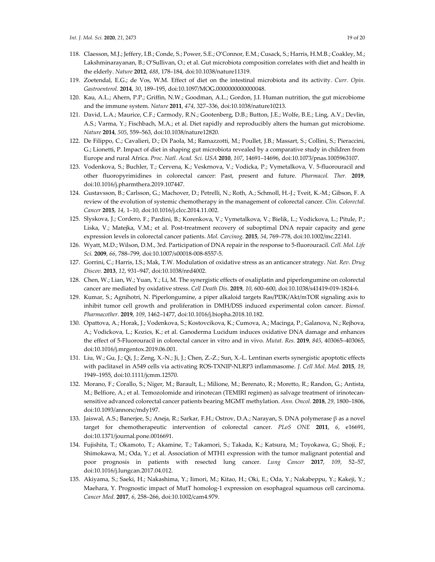- 118. Claesson, M.J.; Jeffery, I.B.; Conde, S.; Power, S.E.; O'Connor, E.M.; Cusack, S.; Harris, H.M.B.; Coakley, M.; Lakshminarayanan, B.; O'Sullivan, O.; et al. Gut microbiota composition correlates with diet and health in the elderly. *Nature* **2012**, *488*, 178–184, doi:10.1038/nature11319.
- 119. Zoetendal, E.G.; de Vos, W.M. Effect of diet on the intestinal microbiota and its activity. *Curr. Opin. Gastroenterol.* **2014**, *30*, 189–195, doi:10.1097/MOG.0000000000000048.
- 120. Kau, A.L.; Ahern, P.P.; Griffin, N.W.; Goodman, A.L.; Gordon, J.I. Human nutrition, the gut microbiome and the immune system. *Nature* **2011**, *474*, 327–336, doi:10.1038/nature10213.
- 121. David, L.A.; Maurice, C.F.; Carmody, R.N.; Gootenberg, D.B.; Button, J.E.; Wolfe, B.E.; Ling, A.V.; Devlin, A.S.; Varma, Y.; Fischbach, M.A.; et al. Diet rapidly and reproducibly alters the human gut microbiome. *Nature* **2014**, *505*, 559–563, doi:10.1038/nature12820.
- 122. De Filippo, C.; Cavalieri, D.; Di Paola, M.; Ramazzotti, M.; Poullet, J.B.; Massart, S.; Collini, S.; Pieraccini, G.; Lionetti, P. Impact of diet in shaping gut microbiota revealed by a comparative study in children from Europe and rural Africa. *Proc. Natl. Acad. Sci. USA* **2010**, *107*, 14691–14696, doi:10.1073/pnas.1005963107.
- 123. Vodenkova, S.; Buchler, T.; Cervena, K.; Veskrnova, V.; Vodicka, P.; Vymetalkova, V. 5‐fluorouracil and other fluoropyrimidines in colorectal cancer: Past, present and future. *Pharmacol. Ther.* **2019**, doi:10.1016/j.pharmthera.2019.107447.
- 124. Gustavsson, B.; Carlsson, G.; Machover, D.; Petrelli, N.; Roth, A.; Schmoll, H.‐J.; Tveit, K.‐M.; Gibson, F. A review of the evolution of systemic chemotherapy in the management of colorectal cancer. *Clin. Colorectal. Cancer* **2015**, *14*, 1–10, doi:10.1016/j.clcc.2014.11.002.
- 125. Slyskova, J.; Cordero, F.; Pardini, B.; Korenkova, V.; Vymetalkova, V.; Bielik, L.; Vodickova, L.; Pitule, P.; Liska, V.; Matejka, V.M.; et al. Post-treatment recovery of suboptimal DNA repair capacity and gene expression levels in colorectal cancer patients. *Mol. Carcinog.* **2015**, *54*, 769–778, doi:10.1002/mc.22141.
- 126. Wyatt, M.D.; Wilson, D.M., 3rd. Participation of DNA repair in the response to 5‐fluorouracil. *Cell. Mol. Life Sci.* **2009**, *66*, 788–799, doi:10.1007/s00018‐008‐8557‐5.
- 127. Gorrini, C.; Harris, I.S.; Mak, T.W. Modulation of oxidative stress as an anticancer strategy. *Nat. Rev. Drug Discov.* **2013**, *12*, 931–947, doi:10.1038/nrd4002.
- 128. Chen, W.; Lian, W.; Yuan, Y.; Li, M. The synergistic effects of oxaliplatin and piperlongumine on colorectal cancer are mediated by oxidative stress. *Cell Death Dis.* **2019**, *10*, 600–600, doi:10.1038/s41419‐019‐1824‐6.
- 129. Kumar, S.; Agnihotri, N. Piperlongumine, a piper alkaloid targets Ras/PI3K/Akt/mTOR signaling axis to inhibit tumor cell growth and proliferation in DMH/DSS induced experimental colon cancer. *Biomed. Pharmacother.* **2019**, *109*, 1462–1477, doi:10.1016/j.biopha.2018.10.182.
- 130. Opattova, A.; Horak, J.; Vodenkova, S.; Kostovcikova, K.; Cumova, A.; Macinga, P.; Galanova, N.; Rejhova, A.; Vodickova, L.; Kozics, K.; et al. Ganoderma Lucidum induces oxidative DNA damage and enhances the effect of 5‐Fluorouracil in colorectal cancer in vitro and in vivo. *Mutat. Res.* **2019**, *845*, 403065–403065, doi:10.1016/j.mrgentox.2019.06.001.
- 131. Liu, W.; Gu, J.; Qi, J.; Zeng, X.‐N.; Ji, J.; Chen, Z.‐Z.; Sun, X.‐L. Lentinan exerts synergistic apoptotic effects with paclitaxel in A549 cells via activating ROS‐TXNIP‐NLRP3 inflammasome. *J. Cell Mol. Med.* **2015**, *19*, 1949–1955, doi:10.1111/jcmm.12570.
- 132. Morano, F.; Corallo, S.; Niger, M.; Barault, L.; Milione, M.; Berenato, R.; Moretto, R.; Randon, G.; Antista, M.; Belfiore, A.; et al. Temozolomide and irinotecan (TEMIRI regimen) as salvage treatment of irinotecansensitive advanced colorectal cancer patients bearing MGMT methylation. *Ann. Oncol.* **2018**, *29*, 1800–1806, doi:10.1093/annonc/mdy197.
- 133. Jaiswal, A.S.; Banerjee, S.; Aneja, R.; Sarkar, F.H.; Ostrov, D.A.; Narayan, S. DNA polymerase β as a novel target for chemotherapeutic intervention of colorectal cancer. *PLoS ONE* **2011**, *6*, e16691, doi:10.1371/journal.pone.0016691.
- 134. Fujishita, T.; Okamoto, T.; Akamine, T.; Takamori, S.; Takada, K.; Katsura, M.; Toyokawa, G.; Shoji, F.; Shimokawa, M.; Oda, Y.; et al. Association of MTH1 expression with the tumor malignant potential and poor prognosis in patients with resected lung cancer. *Lung Cancer* **2017**, *109*, 52–57, doi:10.1016/j.lungcan.2017.04.012.
- 135. Akiyama, S.; Saeki, H.; Nakashima, Y.; Iimori, M.; Kitao, H.; Oki, E.; Oda, Y.; Nakabeppu, Y.; Kakeji, Y.; Maehara, Y. Prognostic impact of MutT homolog-1 expression on esophageal squamous cell carcinoma. *Cancer Med.* **2017**, *6*, 258–266, doi:10.1002/cam4.979.